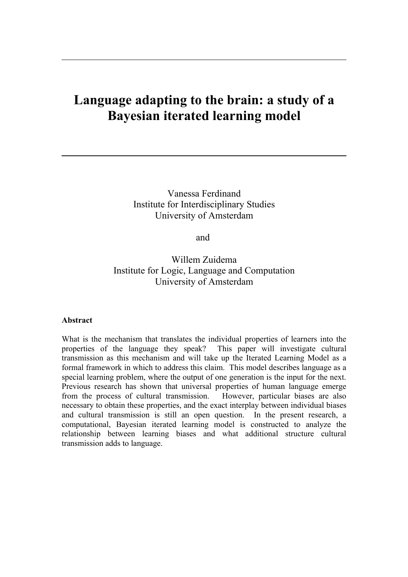# **Language adapting to the brain: a study of a Bayesian iterated learning model**

Vanessa Ferdinand Institute for Interdisciplinary Studies University of Amsterdam

and

Willem Zuidema Institute for Logic, Language and Computation University of Amsterdam

## **Abstract**

What is the mechanism that translates the individual properties of learners into the properties of the language they speak? This paper will investigate cultural transmission as this mechanism and will take up the Iterated Learning Model as a formal framework in which to address this claim. This model describes language as a special learning problem, where the output of one generation is the input for the next. Previous research has shown that universal properties of human language emerge from the process of cultural transmission. However, particular biases are also necessary to obtain these properties, and the exact interplay between individual biases and cultural transmission is still an open question. In the present research, a computational, Bayesian iterated learning model is constructed to analyze the relationship between learning biases and what additional structure cultural transmission adds to language.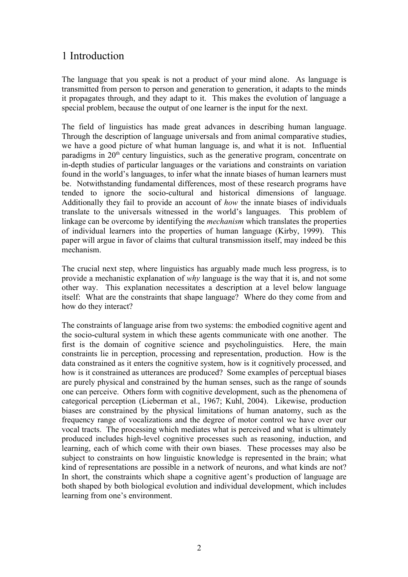## 1 Introduction

The language that you speak is not a product of your mind alone. As language is transmitted from person to person and generation to generation, it adapts to the minds it propagates through, and they adapt to it. This makes the evolution of language a special problem, because the output of one learner is the input for the next.

The field of linguistics has made great advances in describing human language. Through the description of language universals and from animal comparative studies, we have a good picture of what human language is, and what it is not. Influential paradigms in  $20<sup>th</sup>$  century linguistics, such as the generative program, concentrate on in-depth studies of particular languages or the variations and constraints on variation found in the world's languages, to infer what the innate biases of human learners must be. Notwithstanding fundamental differences, most of these research programs have tended to ignore the socio-cultural and historical dimensions of language. Additionally they fail to provide an account of *how* the innate biases of individuals translate to the universals witnessed in the world's languages. This problem of linkage can be overcome by identifying the *mechanism* which translates the properties of individual learners into the properties of human language (Kirby, 1999). This paper will argue in favor of claims that cultural transmission itself, may indeed be this mechanism.

The crucial next step, where linguistics has arguably made much less progress, is to provide a mechanistic explanation of *why* language is the way that it is, and not some other way. This explanation necessitates a description at a level below language itself: What are the constraints that shape language? Where do they come from and how do they interact?

The constraints of language arise from two systems: the embodied cognitive agent and the socio-cultural system in which these agents communicate with one another. The first is the domain of cognitive science and psycholinguistics. Here, the main constraints lie in perception, processing and representation, production. How is the data constrained as it enters the cognitive system, how is it cognitively processed, and how is it constrained as utterances are produced? Some examples of perceptual biases are purely physical and constrained by the human senses, such as the range of sounds one can perceive. Others form with cognitive development, such as the phenomena of categorical perception (Lieberman et al., 1967; Kuhl, 2004). Likewise, production biases are constrained by the physical limitations of human anatomy, such as the frequency range of vocalizations and the degree of motor control we have over our vocal tracts. The processing which mediates what is perceived and what is ultimately produced includes high-level cognitive processes such as reasoning, induction, and learning, each of which come with their own biases. These processes may also be subject to constraints on how linguistic knowledge is represented in the brain; what kind of representations are possible in a network of neurons, and what kinds are not? In short, the constraints which shape a cognitive agent's production of language are both shaped by both biological evolution and individual development, which includes learning from one's environment.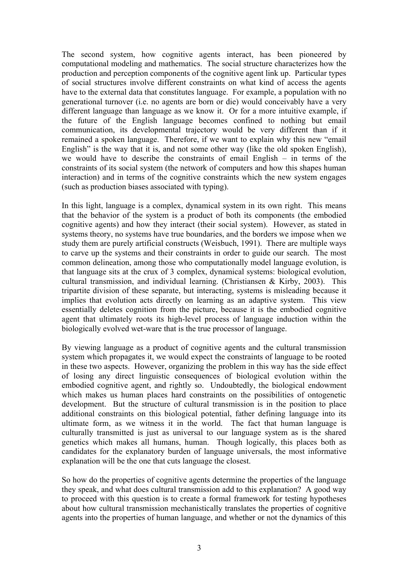The second system, how cognitive agents interact, has been pioneered by computational modeling and mathematics. The social structure characterizes how the production and perception components of the cognitive agent link up. Particular types of social structures involve different constraints on what kind of access the agents have to the external data that constitutes language. For example, a population with no generational turnover (i.e. no agents are born or die) would conceivably have a very different language than language as we know it. Or for a more intuitive example, if the future of the English language becomes confined to nothing but email communication, its developmental trajectory would be very different than if it remained a spoken language. Therefore, if we want to explain why this new "email English" is the way that it is, and not some other way (like the old spoken English), we would have to describe the constraints of email English – in terms of the constraints of its social system (the network of computers and how this shapes human interaction) and in terms of the cognitive constraints which the new system engages (such as production biases associated with typing).

In this light, language is a complex, dynamical system in its own right. This means that the behavior of the system is a product of both its components (the embodied cognitive agents) and how they interact (their social system). However, as stated in systems theory, no systems have true boundaries, and the borders we impose when we study them are purely artificial constructs (Weisbuch, 1991). There are multiple ways to carve up the systems and their constraints in order to guide our search. The most common delineation, among those who computationally model language evolution, is that language sits at the crux of 3 complex, dynamical systems: biological evolution, cultural transmission, and individual learning. (Christiansen & Kirby, 2003). This tripartite division of these separate, but interacting, systems is misleading because it implies that evolution acts directly on learning as an adaptive system. This view essentially deletes cognition from the picture, because it is the embodied cognitive agent that ultimately roots its high-level process of language induction within the biologically evolved wet-ware that is the true processor of language.

By viewing language as a product of cognitive agents and the cultural transmission system which propagates it, we would expect the constraints of language to be rooted in these two aspects. However, organizing the problem in this way has the side effect of losing any direct linguistic consequences of biological evolution within the embodied cognitive agent, and rightly so. Undoubtedly, the biological endowment which makes us human places hard constraints on the possibilities of ontogenetic development. But the structure of cultural transmission is in the position to place additional constraints on this biological potential, father defining language into its ultimate form, as we witness it in the world. The fact that human language is culturally transmitted is just as universal to our language system as is the shared genetics which makes all humans, human. Though logically, this places both as candidates for the explanatory burden of language universals, the most informative explanation will be the one that cuts language the closest.

So how do the properties of cognitive agents determine the properties of the language they speak, and what does cultural transmission add to this explanation? A good way to proceed with this question is to create a formal framework for testing hypotheses about how cultural transmission mechanistically translates the properties of cognitive agents into the properties of human language, and whether or not the dynamics of this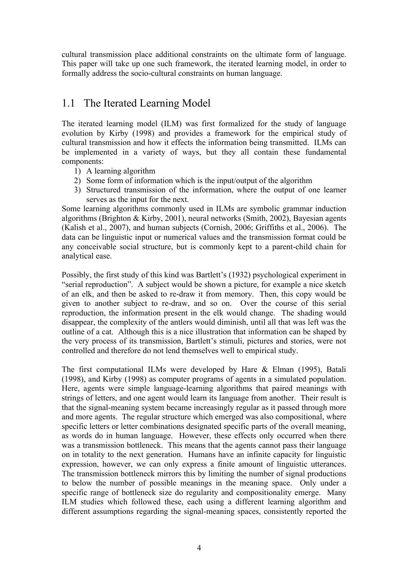cultural transmission place additional constraints on the ultimate form of language. This paper will take up one such framework, the iterated learning model, in order to formally address the socio-cultural constraints on human language.

## 1.1 The Iterated Learning Model

The iterated learning model (ILM) was first formalized for the study of language evolution by Kirby (1998) and provides a framework for the empirical study of cultural transmission and how it effects the information being transmitted. ILMs can be implemented in a variety of ways, but they all contain these fundamental components:

- 1) A learning algorithm
- 2) Some form of information which is the input/output of the algorithm
- 3) Structured transmission of the information, where the output of one learner serves as the input for the next.

Some learning algorithms commonly used in ILMs are symbolic grammar induction algorithms (Brighton & Kirby, 2001), neural networks (Smith, 2002), Bayesian agents (Kalish et al., 2007), and human subjects (Cornish, 2006; Griffiths et al., 2006). The data can be linguistic input or numerical values and the transmission format could be any conceivable social structure, but is commonly kept to a parent-child chain for analytical ease.

Possibly, the first study of this kind was Bartlett's (1932) psychological experiment in "serial reproduction". A subject would be shown a picture, for example a nice sketch of an elk, and then be asked to re-draw it from memory. Then, this copy would be given to another subject to re-draw, and so on. Over the course of this serial reproduction, the information present in the elk would change. The shading would disappear, the complexity of the antlers would diminish, until all that was left was the outline of a cat. Although this is a nice illustration that information can be shaped by the very process of its transmission, Bartlett's stimuli, pictures and stories, were not controlled and therefore do not lend themselves well to empirical study.

The first computational ILMs were developed by Hare & Elman (1995), Batali (1998), and Kirby (1998) as computer programs of agents in a simulated population. Here, agents were simple language-learning algorithms that paired meanings with strings of letters, and one agent would learn its language from another. Their result is that the signal-meaning system became increasingly regular as it passed through more and more agents. The regular structure which emerged was also compositional, where specific letters or letter combinations designated specific parts of the overall meaning, as words do in human language. However, these effects only occurred when there was a transmission bottleneck. This means that the agents cannot pass their language on in totality to the next generation. Humans have an infinite capacity for linguistic expression, however, we can only express a finite amount of linguistic utterances. The transmission bottleneck mirrors this by limiting the number of signal productions to below the number of possible meanings in the meaning space. Only under a specific range of bottleneck size do regularity and compositionality emerge. Many ILM studies which followed these, each using a different learning algorithm and different assumptions regarding the signal-meaning spaces, consistently reported the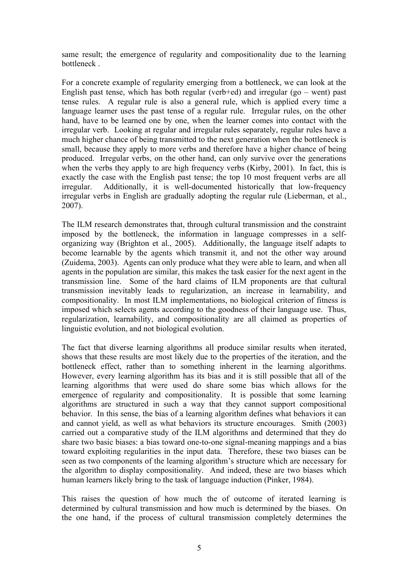same result; the emergence of regularity and compositionality due to the learning bottleneck .

For a concrete example of regularity emerging from a bottleneck, we can look at the English past tense, which has both regular (verb+ed) and irregular (go – went) past tense rules. A regular rule is also a general rule, which is applied every time a language learner uses the past tense of a regular rule. Irregular rules, on the other hand, have to be learned one by one, when the learner comes into contact with the irregular verb. Looking at regular and irregular rules separately, regular rules have a much higher chance of being transmitted to the next generation when the bottleneck is small, because they apply to more verbs and therefore have a higher chance of being produced. Irregular verbs, on the other hand, can only survive over the generations when the verbs they apply to are high frequency verbs (Kirby, 2001). In fact, this is exactly the case with the English past tense; the top 10 most frequent verbs are all irregular. Additionally, it is well-documented historically that low-frequency irregular verbs in English are gradually adopting the regular rule (Lieberman, et al., 2007).

The ILM research demonstrates that, through cultural transmission and the constraint imposed by the bottleneck, the information in language compresses in a selforganizing way (Brighton et al., 2005). Additionally, the language itself adapts to become learnable by the agents which transmit it, and not the other way around (Zuidema, 2003). Agents can only produce what they were able to learn, and when all agents in the population are similar, this makes the task easier for the next agent in the transmission line. Some of the hard claims of ILM proponents are that cultural transmission inevitably leads to regularization, an increase in learnability, and compositionality. In most ILM implementations, no biological criterion of fitness is imposed which selects agents according to the goodness of their language use. Thus, regularization, learnability, and compositionality are all claimed as properties of linguistic evolution, and not biological evolution.

The fact that diverse learning algorithms all produce similar results when iterated, shows that these results are most likely due to the properties of the iteration, and the bottleneck effect, rather than to something inherent in the learning algorithms. However, every learning algorithm has its bias and it is still possible that all of the learning algorithms that were used do share some bias which allows for the emergence of regularity and compositionality. It is possible that some learning algorithms are structured in such a way that they cannot support compositional behavior. In this sense, the bias of a learning algorithm defines what behaviors it can and cannot yield, as well as what behaviors its structure encourages. Smith (2003) carried out a comparative study of the ILM algorithms and determined that they do share two basic biases: a bias toward one-to-one signal-meaning mappings and a bias toward exploiting regularities in the input data. Therefore, these two biases can be seen as two components of the learning algorithm's structure which are necessary for the algorithm to display compositionality. And indeed, these are two biases which human learners likely bring to the task of language induction (Pinker, 1984).

This raises the question of how much the of outcome of iterated learning is determined by cultural transmission and how much is determined by the biases. On the one hand, if the process of cultural transmission completely determines the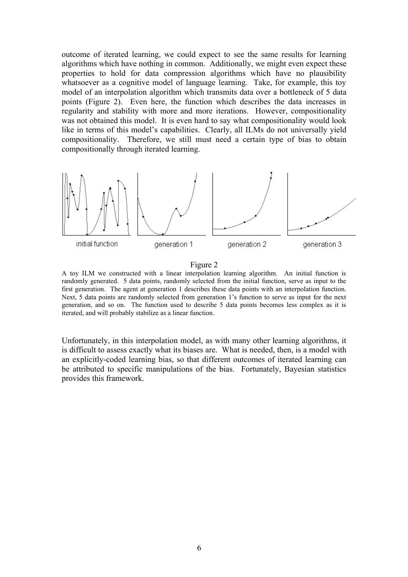outcome of iterated learning, we could expect to see the same results for learning algorithms which have nothing in common. Additionally, we might even expect these properties to hold for data compression algorithms which have no plausibility whatsoever as a cognitive model of language learning. Take, for example, this toy model of an interpolation algorithm which transmits data over a bottleneck of 5 data points (Figure 2). Even here, the function which describes the data increases in regularity and stability with more and more iterations. However, compositionality was not obtained this model. It is even hard to say what compositionality would look like in terms of this model's capabilities. Clearly, all ILMs do not universally yield compositionality. Therefore, we still must need a certain type of bias to obtain compositionally through iterated learning.



#### Figure 2

A toy ILM we constructed with a linear interpolation learning algorithm. An initial function is randomly generated. 5 data points, randomly selected from the initial function, serve as input to the first generation. The agent at generation 1 describes these data points with an interpolation function. Next, 5 data points are randomly selected from generation 1's function to serve as input for the next generation, and so on. The function used to describe 5 data points becomes less complex as it is iterated, and will probably stabilize as a linear function.

Unfortunately, in this interpolation model, as with many other learning algorithms, it is difficult to assess exactly what its biases are. What is needed, then, is a model with an explicitly-coded learning bias, so that different outcomes of iterated learning can be attributed to specific manipulations of the bias. Fortunately, Bayesian statistics provides this framework.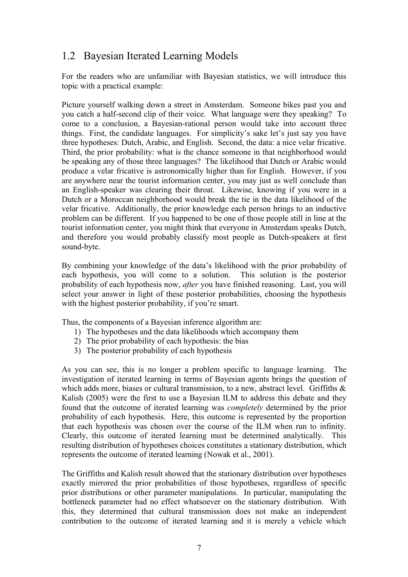## 1.2 Bayesian Iterated Learning Models

For the readers who are unfamiliar with Bayesian statistics, we will introduce this topic with a practical example:

Picture yourself walking down a street in Amsterdam. Someone bikes past you and you catch a half-second clip of their voice. What language were they speaking? To come to a conclusion, a Bayesian-rational person would take into account three things. First, the candidate languages. For simplicity's sake let's just say you have three hypotheses: Dutch, Arabic, and English. Second, the data: a nice velar fricative. Third, the prior probability: what is the chance someone in that neighborhood would be speaking any of those three languages? The likelihood that Dutch or Arabic would produce a velar fricative is astronomically higher than for English. However, if you are anywhere near the tourist information center, you may just as well conclude than an English-speaker was clearing their throat. Likewise, knowing if you were in a Dutch or a Moroccan neighborhood would break the tie in the data likelihood of the velar fricative. Additionally, the prior knowledge each person brings to an inductive problem can be different. If you happened to be one of those people still in line at the tourist information center, you might think that everyone in Amsterdam speaks Dutch, and therefore you would probably classify most people as Dutch-speakers at first sound-byte.

By combining your knowledge of the data's likelihood with the prior probability of each hypothesis, you will come to a solution. This solution is the posterior probability of each hypothesis now, *after* you have finished reasoning. Last, you will select your answer in light of these posterior probabilities, choosing the hypothesis with the highest posterior probability, if you're smart.

Thus, the components of a Bayesian inference algorithm are:

- 1) The hypotheses and the data likelihoods which accompany them
- 2) The prior probability of each hypothesis: the bias
- 3) The posterior probability of each hypothesis

As you can see, this is no longer a problem specific to language learning. The investigation of iterated learning in terms of Bayesian agents brings the question of which adds more, biases or cultural transmission, to a new, abstract level. Griffiths  $\&$ Kalish (2005) were the first to use a Bayesian ILM to address this debate and they found that the outcome of iterated learning was *completely* determined by the prior probability of each hypothesis. Here, this outcome is represented by the proportion that each hypothesis was chosen over the course of the ILM when run to infinity. Clearly, this outcome of iterated learning must be determined analytically. This resulting distribution of hypotheses choices constitutes a stationary distribution, which represents the outcome of iterated learning (Nowak et al., 2001).

The Griffiths and Kalish result showed that the stationary distribution over hypotheses exactly mirrored the prior probabilities of those hypotheses, regardless of specific prior distributions or other parameter manipulations. In particular, manipulating the bottleneck parameter had no effect whatsoever on the stationary distribution. With this, they determined that cultural transmission does not make an independent contribution to the outcome of iterated learning and it is merely a vehicle which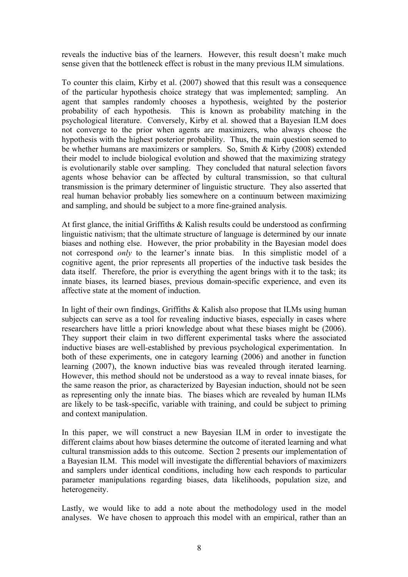reveals the inductive bias of the learners. However, this result doesn't make much sense given that the bottleneck effect is robust in the many previous ILM simulations.

To counter this claim, Kirby et al. (2007) showed that this result was a consequence of the particular hypothesis choice strategy that was implemented; sampling. An agent that samples randomly chooses a hypothesis, weighted by the posterior probability of each hypothesis. This is known as probability matching in the psychological literature. Conversely, Kirby et al. showed that a Bayesian ILM does not converge to the prior when agents are maximizers, who always choose the hypothesis with the highest posterior probability. Thus, the main question seemed to be whether humans are maximizers or samplers. So, Smith & Kirby (2008) extended their model to include biological evolution and showed that the maximizing strategy is evolutionarily stable over sampling. They concluded that natural selection favors agents whose behavior can be affected by cultural transmission, so that cultural transmission is the primary determiner of linguistic structure. They also asserted that real human behavior probably lies somewhere on a continuum between maximizing and sampling, and should be subject to a more fine-grained analysis.

At first glance, the initial Griffiths & Kalish results could be understood as confirming linguistic nativism; that the ultimate structure of language is determined by our innate biases and nothing else. However, the prior probability in the Bayesian model does not correspond *only* to the learner's innate bias. In this simplistic model of a cognitive agent, the prior represents all properties of the inductive task besides the data itself. Therefore, the prior is everything the agent brings with it to the task; its innate biases, its learned biases, previous domain-specific experience, and even its affective state at the moment of induction.

In light of their own findings, Griffiths & Kalish also propose that ILMs using human subjects can serve as a tool for revealing inductive biases, especially in cases where researchers have little a priori knowledge about what these biases might be (2006). They support their claim in two different experimental tasks where the associated inductive biases are well-established by previous psychological experimentation. In both of these experiments, one in category learning (2006) and another in function learning (2007), the known inductive bias was revealed through iterated learning. However, this method should not be understood as a way to reveal innate biases, for the same reason the prior, as characterized by Bayesian induction, should not be seen as representing only the innate bias. The biases which are revealed by human ILMs are likely to be task-specific, variable with training, and could be subject to priming and context manipulation.

In this paper, we will construct a new Bayesian ILM in order to investigate the different claims about how biases determine the outcome of iterated learning and what cultural transmission adds to this outcome. Section 2 presents our implementation of a Bayesian ILM. This model will investigate the differential behaviors of maximizers and samplers under identical conditions, including how each responds to particular parameter manipulations regarding biases, data likelihoods, population size, and heterogeneity.

Lastly, we would like to add a note about the methodology used in the model analyses. We have chosen to approach this model with an empirical, rather than an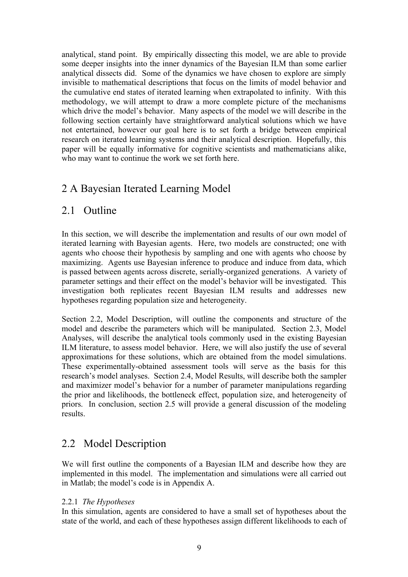analytical, stand point. By empirically dissecting this model, we are able to provide some deeper insights into the inner dynamics of the Bayesian ILM than some earlier analytical dissects did. Some of the dynamics we have chosen to explore are simply invisible to mathematical descriptions that focus on the limits of model behavior and the cumulative end states of iterated learning when extrapolated to infinity. With this methodology, we will attempt to draw a more complete picture of the mechanisms which drive the model's behavior. Many aspects of the model we will describe in the following section certainly have straightforward analytical solutions which we have not entertained, however our goal here is to set forth a bridge between empirical research on iterated learning systems and their analytical description. Hopefully, this paper will be equally informative for cognitive scientists and mathematicians alike, who may want to continue the work we set forth here.

## 2 A Bayesian Iterated Learning Model

## 2.1 Outline

In this section, we will describe the implementation and results of our own model of iterated learning with Bayesian agents. Here, two models are constructed; one with agents who choose their hypothesis by sampling and one with agents who choose by maximizing. Agents use Bayesian inference to produce and induce from data, which is passed between agents across discrete, serially-organized generations. A variety of parameter settings and their effect on the model's behavior will be investigated. This investigation both replicates recent Bayesian ILM results and addresses new hypotheses regarding population size and heterogeneity.

Section 2.2, Model Description, will outline the components and structure of the model and describe the parameters which will be manipulated. Section 2.3, Model Analyses, will describe the analytical tools commonly used in the existing Bayesian ILM literature, to assess model behavior. Here, we will also justify the use of several approximations for these solutions, which are obtained from the model simulations. These experimentally-obtained assessment tools will serve as the basis for this research's model analyses. Section 2.4, Model Results, will describe both the sampler and maximizer model's behavior for a number of parameter manipulations regarding the prior and likelihoods, the bottleneck effect, population size, and heterogeneity of priors. In conclusion, section 2.5 will provide a general discussion of the modeling results.

## 2.2 Model Description

We will first outline the components of a Bayesian ILM and describe how they are implemented in this model. The implementation and simulations were all carried out in Matlab; the model's code is in Appendix A.

## 2.2.1 *The Hypotheses*

In this simulation, agents are considered to have a small set of hypotheses about the state of the world, and each of these hypotheses assign different likelihoods to each of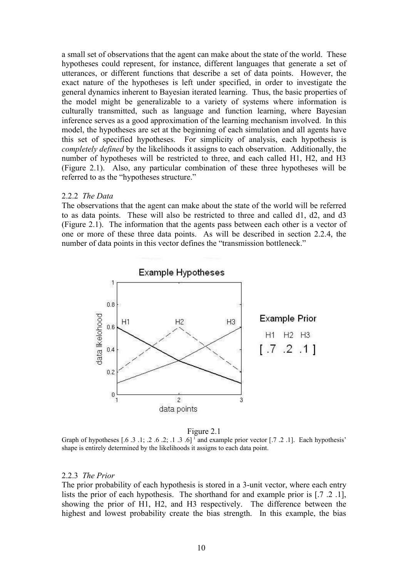a small set of observations that the agent can make about the state of the world. These hypotheses could represent, for instance, different languages that generate a set of utterances, or different functions that describe a set of data points. However, the exact nature of the hypotheses is left under specified, in order to investigate the general dynamics inherent to Bayesian iterated learning. Thus, the basic properties of the model might be generalizable to a variety of systems where information is culturally transmitted, such as language and function learning, where Bayesian inference serves as a good approximation of the learning mechanism involved. In this model, the hypotheses are set at the beginning of each simulation and all agents have this set of specified hypotheses. For simplicity of analysis, each hypothesis is *completely defined* by the likelihoods it assigns to each observation. Additionally, the number of hypotheses will be restricted to three, and each called H1, H2, and H3 (Figure 2.1). Also, any particular combination of these three hypotheses will be referred to as the "hypotheses structure."

### 2.2.2 *The Data*

The observations that the agent can make about the state of the world will be referred to as data points. These will also be restricted to three and called d1, d2, and d3 (Figure 2.1). The information that the agents pass between each other is a vector of one or more of these three data points. As will be described in section 2.2.4, the number of data points in this vector defines the "transmission bottleneck."



Figure 2.1

Graph of hypotheses  $[0.6 \tcdot .3 \tcdot .1; 0.2 \tcdot .2; 0.1 \tcdot .3 \tcdot .6]$  and example prior vector  $[0.7 \tcdot .2 \tcdot .1]$ . Each hypothesis' shape is entirely determined by the likelihoods it assigns to each data point.

### 2.2.3 *The Prior*

The prior probability of each hypothesis is stored in a 3-unit vector, where each entry lists the prior of each hypothesis. The shorthand for and example prior is [.7 .2 .1], showing the prior of H1, H2, and H3 respectively. The difference between the highest and lowest probability create the bias strength. In this example, the bias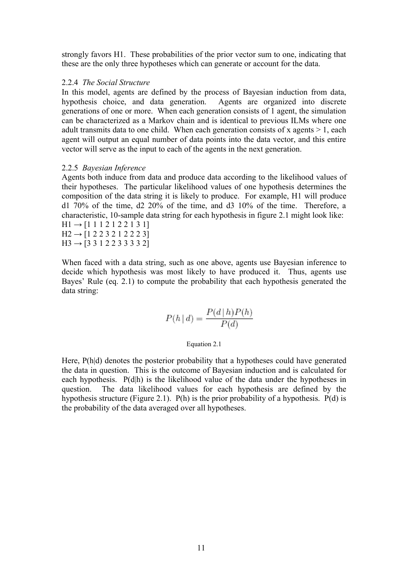strongly favors H1. These probabilities of the prior vector sum to one, indicating that these are the only three hypotheses which can generate or account for the data.

## 2.2.4 *The Social Structure*

In this model, agents are defined by the process of Bayesian induction from data, hypothesis choice, and data generation. Agents are organized into discrete generations of one or more. When each generation consists of 1 agent, the simulation can be characterized as a Markov chain and is identical to previous ILMs where one adult transmits data to one child. When each generation consists of x agents > 1, each agent will output an equal number of data points into the data vector, and this entire vector will serve as the input to each of the agents in the next generation.

## 2.2.5 *Bayesian Inference*

Agents both induce from data and produce data according to the likelihood values of their hypotheses. The particular likelihood values of one hypothesis determines the composition of the data string it is likely to produce. For example, H1 will produce d1 70% of the time, d2 20% of the time, and d3 10% of the time. Therefore, a characteristic, 10-sample data string for each hypothesis in figure 2.1 might look like:  $H1 \rightarrow [1 1 1 2 1 2 2 1 3 1]$ 

 $H2 \rightarrow [1 2 2 3 2 1 2 2 2 3]$  $H3 \rightarrow [3\ 3\ 1\ 2\ 2\ 3\ 3\ 3\ 3\ 2]$ 

When faced with a data string, such as one above, agents use Bayesian inference to decide which hypothesis was most likely to have produced it. Thus, agents use Bayes' Rule (eq. 2.1) to compute the probability that each hypothesis generated the data string:

$$
P(h | d) = \frac{P(d | h)P(h)}{P(d)}
$$

#### Equation 2.1

Here, P(h|d) denotes the posterior probability that a hypotheses could have generated the data in question. This is the outcome of Bayesian induction and is calculated for each hypothesis. P(d|h) is the likelihood value of the data under the hypotheses in question. The data likelihood values for each hypothesis are defined by the hypothesis structure (Figure 2.1). P(h) is the prior probability of a hypothesis. P(d) is the probability of the data averaged over all hypotheses.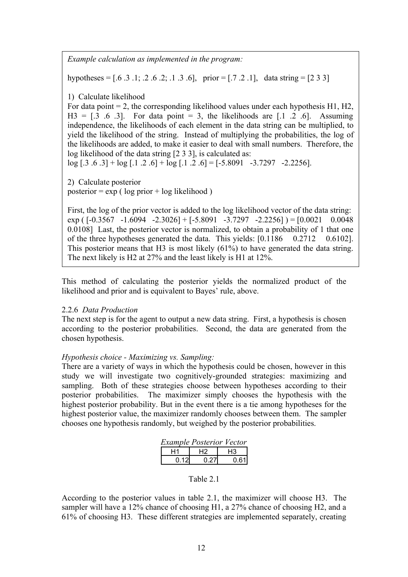*Example calculation as implemented in the program:*

hypotheses =  $[0.6 \tcdot .3 \tcdot .1; 0.2 \tcdot .2; 0.1 \tcdot .3 \tcdot .6]$ , prior =  $[0.7 \tcdot .2 \tcdot .1]$ , data string =  $[2 \tcdot 3 \tcdot 3]$ 

1) Calculate likelihood

For data point  $= 2$ , the corresponding likelihood values under each hypothesis H1, H2,  $H3 = [.3 \t .6 \t .3]$ . For data point = 3, the likelihoods are  $[.1 \t .2 \t .6]$ . Assuming independence, the likelihoods of each element in the data string can be multiplied, to yield the likelihood of the string. Instead of multiplying the probabilities, the log of the likelihoods are added, to make it easier to deal with small numbers. Therefore, the log likelihood of the data string [2 3 3], is calculated as:

 $log [.3 \tcdot .6 \tcdot .3] + log [.1 \tcdot .2 \tcdot .6] + log [.1 \tcdot .2 \tcdot .6] = [-5.8091 -3.7297 -2.2256]$ .

2) Calculate posterior posterior =  $\exp$  ( log prior + log likelihood )

First, the log of the prior vector is added to the log likelihood vector of the data string: exp ( $[-0.3567 -1.6094 -2.3026] + [-5.8091 -3.7297 -2.2256] = [0.0021 \quad 0.0048]$ 0.0108] Last, the posterior vector is normalized, to obtain a probability of 1 that one of the three hypotheses generated the data. This yields: [0.1186 0.2712 0.6102]. This posterior means that H3 is most likely (61%) to have generated the data string. The next likely is H2 at 27% and the least likely is H1 at 12%.

This method of calculating the posterior yields the normalized product of the likelihood and prior and is equivalent to Bayes' rule, above.

## 2.2.6 *Data Production*

The next step is for the agent to output a new data string. First, a hypothesis is chosen according to the posterior probabilities. Second, the data are generated from the chosen hypothesis.

## *Hypothesis choice - Maximizing vs. Sampling:*

There are a variety of ways in which the hypothesis could be chosen, however in this study we will investigate two cognitively-grounded strategies: maximizing and sampling. Both of these strategies choose between hypotheses according to their posterior probabilities. The maximizer simply chooses the hypothesis with the highest posterior probability. But in the event there is a tie among hypotheses for the highest posterior value, the maximizer randomly chooses between them. The sampler chooses one hypothesis randomly, but weighed by the posterior probabilities.

| <b>Example Posterior Vector</b> |       |      |  |  |
|---------------------------------|-------|------|--|--|
| Η1                              | H2    | H3   |  |  |
| 0.121                           | 0.271 | 0.61 |  |  |

## Table 2.1

According to the posterior values in table 2.1, the maximizer will choose H3. The sampler will have a 12% chance of choosing H1, a 27% chance of choosing H2, and a 61% of choosing H3. These different strategies are implemented separately, creating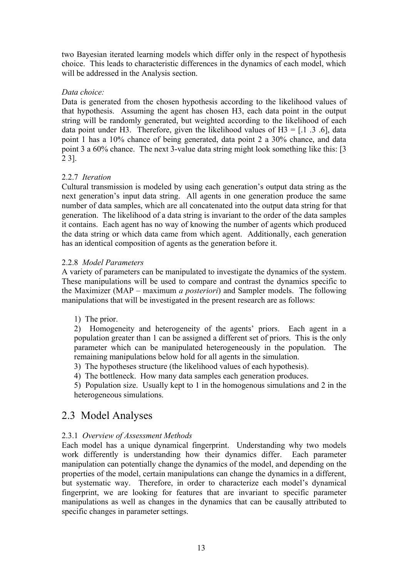two Bayesian iterated learning models which differ only in the respect of hypothesis choice. This leads to characteristic differences in the dynamics of each model, which will be addressed in the Analysis section.

## *Data choice:*

Data is generated from the chosen hypothesis according to the likelihood values of that hypothesis. Assuming the agent has chosen H3, each data point in the output string will be randomly generated, but weighted according to the likelihood of each data point under H3. Therefore, given the likelihood values of H3 =  $[0.1 \cdot 0.3 \cdot 0.6]$ , data point 1 has a 10% chance of being generated, data point 2 a 30% chance, and data point 3 a 60% chance. The next 3-value data string might look something like this: [3 2 3].

## 2.2.7 *Iteration*

Cultural transmission is modeled by using each generation's output data string as the next generation's input data string. All agents in one generation produce the same number of data samples, which are all concatenated into the output data string for that generation. The likelihood of a data string is invariant to the order of the data samples it contains. Each agent has no way of knowing the number of agents which produced the data string or which data came from which agent. Additionally, each generation has an identical composition of agents as the generation before it.

## 2.2.8 *Model Parameters*

A variety of parameters can be manipulated to investigate the dynamics of the system. These manipulations will be used to compare and contrast the dynamics specific to the Maximizer (MAP – maximum *a posteriori*) and Sampler models. The following manipulations that will be investigated in the present research are as follows:

1) The prior.

2) Homogeneity and heterogeneity of the agents' priors. Each agent in a population greater than 1 can be assigned a different set of priors. This is the only parameter which can be manipulated heterogeneously in the population. The remaining manipulations below hold for all agents in the simulation.

3) The hypotheses structure (the likelihood values of each hypothesis).

4) The bottleneck. How many data samples each generation produces.

5) Population size. Usually kept to 1 in the homogenous simulations and 2 in the heterogeneous simulations.

## 2.3 Model Analyses

## 2.3.1 *Overview of Assessment Methods*

Each model has a unique dynamical fingerprint. Understanding why two models work differently is understanding how their dynamics differ. Each parameter manipulation can potentially change the dynamics of the model, and depending on the properties of the model, certain manipulations can change the dynamics in a different, but systematic way. Therefore, in order to characterize each model's dynamical fingerprint, we are looking for features that are invariant to specific parameter manipulations as well as changes in the dynamics that can be causally attributed to specific changes in parameter settings.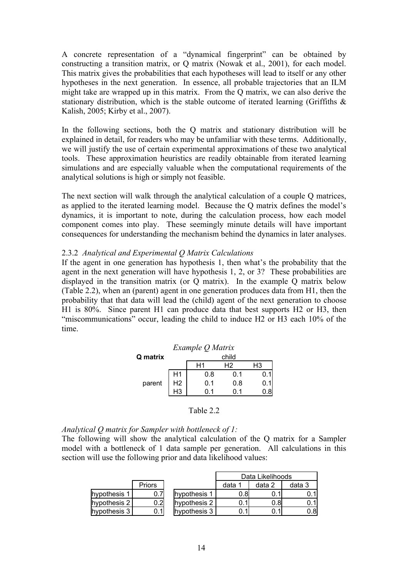A concrete representation of a "dynamical fingerprint" can be obtained by constructing a transition matrix, or Q matrix (Nowak et al., 2001), for each model. This matrix gives the probabilities that each hypotheses will lead to itself or any other hypotheses in the next generation. In essence, all probable trajectories that an ILM might take are wrapped up in this matrix. From the Q matrix, we can also derive the stationary distribution, which is the stable outcome of iterated learning (Griffiths & Kalish, 2005; Kirby et al., 2007).

In the following sections, both the Q matrix and stationary distribution will be explained in detail, for readers who may be unfamiliar with these terms. Additionally, we will justify the use of certain experimental approximations of these two analytical tools. These approximation heuristics are readily obtainable from iterated learning simulations and are especially valuable when the computational requirements of the analytical solutions is high or simply not feasible.

The next section will walk through the analytical calculation of a couple Q matrices, as applied to the iterated learning model. Because the Q matrix defines the model's dynamics, it is important to note, during the calculation process, how each model component comes into play. These seemingly minute details will have important consequences for understanding the mechanism behind the dynamics in later analyses.

## 2.3.2 *Analytical and Experimental Q Matrix Calculations*

If the agent in one generation has hypothesis 1, then what's the probability that the agent in the next generation will have hypothesis 1, 2, or 3? These probabilities are displayed in the transition matrix (or Q matrix). In the example Q matrix below (Table 2.2), when an (parent) agent in one generation produces data from H1, then the probability that that data will lead the (child) agent of the next generation to choose H1 is 80%. Since parent H1 can produce data that best supports H2 or H3, then "miscommunications" occur, leading the child to induce H2 or H3 each 10% of the time.

|          |                | Example Q Matrix |       |    |
|----------|----------------|------------------|-------|----|
| Q matrix |                |                  | child |    |
|          |                | Η1               | Н2    | H3 |
|          | H1             | 0.8              | 0.1   |    |
| parent   | H <sub>2</sub> | 0.1              | 0.8   |    |
|          |                | በ 1              | ი 1   |    |
|          |                |                  |       |    |

## Table 2.2

*Analytical Q matrix for Sampler with bottleneck of 1:*

The following will show the analytical calculation of the Q matrix for a Sampler model with a bottleneck of 1 data sample per generation. All calculations in this section will use the following prior and data likelihood values:

|              |        |              |      | Data Likelihoods |        |
|--------------|--------|--------------|------|------------------|--------|
|              | Priors |              | data | data 2           | data 3 |
| hypothesis 1 |        | hypothesis 1 | 0.81 |                  |        |
| hypothesis 2 | 0.2    | hypothesis 2 |      | 0.8              |        |
| hypothesis 3 | ა.1    | hypothesis 3 |      |                  | 0.8I   |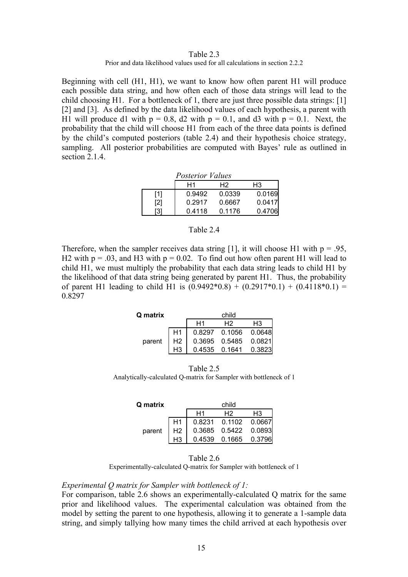#### Table 2.3 Prior and data likelihood values used for all calculations in section 2.2.2

Beginning with cell (H1, H1), we want to know how often parent H1 will produce each possible data string, and how often each of those data strings will lead to the child choosing H1. For a bottleneck of 1, there are just three possible data strings: [1] [2] and [3]. As defined by the data likelihood values of each hypothesis, a parent with H1 will produce d1 with  $p = 0.8$ , d2 with  $p = 0.1$ , and d3 with  $p = 0.1$ . Next, the probability that the child will choose H1 from each of the three data points is defined by the child's computed posteriors (table 2.4) and their hypothesis choice strategy, sampling. All posterior probabilities are computed with Bayes' rule as outlined in section 2.1.4.

|     | <b>Posterior Values</b> |        |        |
|-----|-------------------------|--------|--------|
|     | H1                      | H2     | H3     |
| [1] | 0.9492                  | 0.0339 | 0.0169 |
| [2] | 0.2917                  | 0.6667 | 0.0417 |
| [3] | 0.4118                  | 0.1176 | 0.4706 |

## Table 2.4

Therefore, when the sampler receives data string [1], it will choose H1 with  $p = .95$ , H2 with  $p = .03$ , and H3 with  $p = 0.02$ . To find out how often parent H1 will lead to child H1, we must multiply the probability that each data string leads to child H1 by the likelihood of that data string being generated by parent H1. Thus, the probability of parent H1 leading to child H1 is  $(0.9492*0.8) + (0.2917*0.1) + (0.4118*0.1) =$ 0.8297

| Q matrix |                |    | child                      |        |
|----------|----------------|----|----------------------------|--------|
|          |                | Η1 | Н2                         | H3     |
|          |                |    | 0.8297 0.1056 0.0648       |        |
| parent   | H <sub>2</sub> |    | $0.3695$ $0.5485$ $0.0821$ |        |
|          |                |    | $0.4535$ 0.1641            | 0.3823 |

Table 2.5 Analytically-calculated Q-matrix for Sampler with bottleneck of 1

| <b>Q</b> matrix |                |    | child                  |    |
|-----------------|----------------|----|------------------------|----|
|                 |                | H1 | H2                     | H3 |
|                 |                |    | 0.8231  0.1102  0.0667 |    |
| parent          | H <sub>2</sub> |    | 0.3685 0.5422 0.0893   |    |
|                 |                |    | 0.4539 0.1665 0.3796   |    |

Table 2.6

Experimentally-calculated Q-matrix for Sampler with bottleneck of 1

#### *Experimental Q matrix for Sampler with bottleneck of 1:*

For comparison, table 2.6 shows an experimentally-calculated Q matrix for the same prior and likelihood values. The experimental calculation was obtained from the model by setting the parent to one hypothesis, allowing it to generate a 1-sample data string, and simply tallying how many times the child arrived at each hypothesis over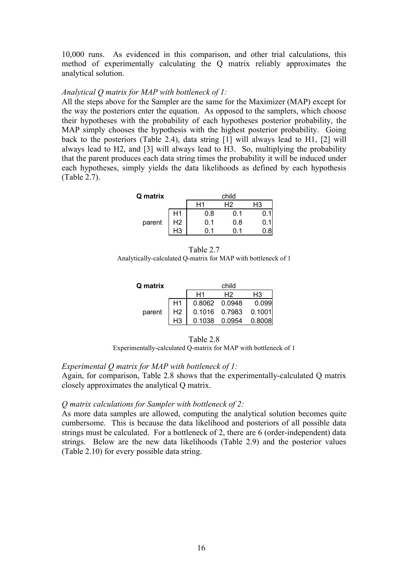10,000 runs. As evidenced in this comparison, and other trial calculations, this method of experimentally calculating the Q matrix reliably approximates the analytical solution.

## *Analytical Q matrix for MAP with bottleneck of 1:*

All the steps above for the Sampler are the same for the Maximizer (MAP) except for the way the posteriors enter the equation. As opposed to the samplers, which choose their hypotheses with the probability of each hypotheses posterior probability, the MAP simply chooses the hypothesis with the highest posterior probability. Going back to the posteriors (Table 2.4), data string [1] will always lead to H1, [2] will always lead to H2, and [3] will always lead to H3. So, multiplying the probability that the parent produces each data string times the probability it will be induced under each hypotheses, simply yields the data likelihoods as defined by each hypothesis (Table 2.7).

| Q matrix |                |     | child |    |
|----------|----------------|-----|-------|----|
|          |                |     | H2    | H3 |
|          | H1             | 0.8 | 0.1   |    |
| parent   | H <sub>2</sub> | 0.1 | 0.8   |    |
|          | HЗ             | 1   |       |    |

Table 2.7 Analytically-calculated Q-matrix for MAP with bottleneck of 1

| Q matrix |                |                | child         |        |
|----------|----------------|----------------|---------------|--------|
|          |                | H <sub>1</sub> | Н2            | H3     |
|          |                |                | 0.8062 0.0948 | 0.099  |
| parent   | H <sub>2</sub> |                | 0.1016 0.7983 | 0.1001 |
|          |                |                | 0.1038 0.0954 | 0.8008 |

| Table 2.8 |
|-----------|
|-----------|

Experimentally-calculated Q-matrix for MAP with bottleneck of 1

## *Experimental Q matrix for MAP with bottleneck of 1:*

Again, for comparison, Table 2.8 shows that the experimentally-calculated Q matrix closely approximates the analytical Q matrix.

## *Q matrix calculations for Sampler with bottleneck of 2:*

As more data samples are allowed, computing the analytical solution becomes quite cumbersome. This is because the data likelihood and posteriors of all possible data strings must be calculated. For a bottleneck of 2, there are 6 (order-independent) data strings. Below are the new data likelihoods (Table 2.9) and the posterior values (Table 2.10) for every possible data string.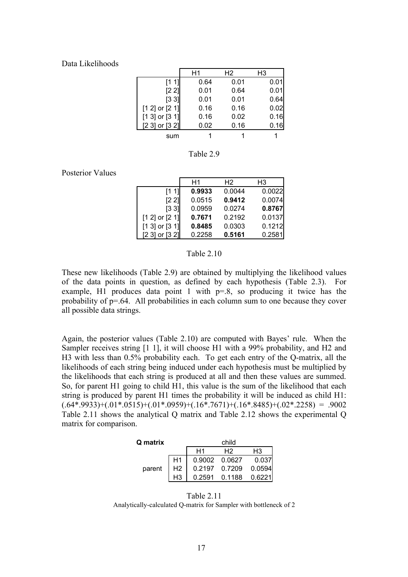#### Data Likelihoods

|                    | H1   | Н2   | H3   |
|--------------------|------|------|------|
| [1 1]              | 0.64 | 0.01 | 0.01 |
| [2 2]              | 0.01 | 0.64 | 0.01 |
| [33]               | 0.01 | 0.01 | 0.64 |
| $[1 2]$ or $[2 1]$ | 0.16 | 0.16 | 0.02 |
| $[1 3]$ or $[3 1]$ | 0.16 | 0.02 | 0.16 |
| [2 3] or [3 2]     | 0.02 | 0.16 | 0.16 |
| sum                |      |      |      |

Table 2.9

Posterior Values

|                     | H1     | H <sub>2</sub> | H3     |
|---------------------|--------|----------------|--------|
| [1 1]               | 0.9933 | 0.0044         | 0.0022 |
| [2 2]               | 0.0515 | 0.9412         | 0.0074 |
| $\left[3\,3\right]$ | 0.0959 | 0.0274         | 0.8767 |
| $[1 2]$ or $[2 1]$  | 0.7671 | 0.2192         | 0.0137 |
| $[1 3]$ or $[3 1]$  | 0.8485 | 0.0303         | 0.1212 |
| [2 3] or [3 2]      | 0.2258 | 0.5161         | 0.2581 |

#### Table 2.10

These new likelihoods (Table 2.9) are obtained by multiplying the likelihood values of the data points in question, as defined by each hypothesis (Table 2.3). For example, H1 produces data point 1 with p=.8, so producing it twice has the probability of p=.64. All probabilities in each column sum to one because they cover all possible data strings.

Again, the posterior values (Table 2.10) are computed with Bayes' rule. When the Sampler receives string [1 1], it will choose H1 with a 99% probability, and H2 and H3 with less than 0.5% probability each. To get each entry of the Q-matrix, all the likelihoods of each string being induced under each hypothesis must be multiplied by the likelihoods that each string is produced at all and then these values are summed. So, for parent H1 going to child H1, this value is the sum of the likelihood that each string is produced by parent H1 times the probability it will be induced as child H1:  $(.64*.9933)+(.01*.0515)+(.01*.0959)+(.16*.7671)+(.16*.8485)+(.02*.2258) = .9002$ Table 2.11 shows the analytical Q matrix and Table 2.12 shows the experimental Q matrix for comparison.

| <b>Q</b> matrix |                |    | child         |        |
|-----------------|----------------|----|---------------|--------|
|                 |                | H1 | Н2            | H3     |
|                 | H1             |    | 0.9002 0.0627 | 0.037  |
| parent          | H <sub>2</sub> |    | 0.2197 0.7209 | 0.0594 |
|                 |                |    | 0.2591 0.1188 | 0.6221 |

Table 2.11 Analytically-calculated Q-matrix for Sampler with bottleneck of 2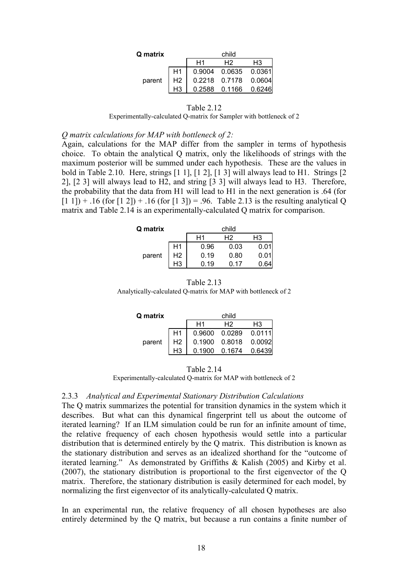| Q matrix |                |                | child                  |    |
|----------|----------------|----------------|------------------------|----|
|          |                | H <sub>1</sub> | H2                     | H3 |
|          |                |                | 0.9004 0.0635 0.0361   |    |
| parent   | H <sub>2</sub> |                | 0.2218  0.7178  0.0604 |    |
|          |                |                | 0.2588  0.1166  0.6246 |    |

#### Table 2.12

Experimentally-calculated Q-matrix for Sampler with bottleneck of 2

*Q matrix calculations for MAP with bottleneck of 2:*

Again, calculations for the MAP differ from the sampler in terms of hypothesis choice. To obtain the analytical Q matrix, only the likelihoods of strings with the maximum posterior will be summed under each hypothesis. These are the values in bold in Table 2.10. Here, strings [1 1], [1 2], [1 3] will always lead to H1. Strings [2 2], [2 3] will always lead to H2, and string [3 3] will always lead to H3. Therefore, the probability that the data from H1 will lead to H1 in the next generation is .64 (for  $[1\ 1]) + .16$  (for  $[1\ 2]) + .16$  (for  $[1\ 3]) = .96$ . Table 2.13 is the resulting analytical Q matrix and Table 2.14 is an experimentally-calculated Q matrix for comparison.

| Q matrix |                |      | child |      |
|----------|----------------|------|-------|------|
|          |                | Η1   | Н2    | H3   |
|          | H1             | 0.96 | 0.03  | 0.0  |
| parent   | H <sub>2</sub> | 0.19 | 0.80  | 0.01 |
|          |                | 0.19 | በ 17  |      |

#### Table 2.13

Analytically-calculated Q-matrix for MAP with bottleneck of 2

| Q matrix |                |    | child                      |        |
|----------|----------------|----|----------------------------|--------|
|          |                | H1 | H <sub>2</sub>             | H3     |
|          | H1             |    | $0.9600$ $0.0289$ $0.0111$ |        |
| parent   | H <sub>2</sub> |    | $0.1900$ $0.8018$ $0.0092$ |        |
|          |                |    | 0.1900 0.1674              | 0.6439 |

#### Table 2.14

Experimentally-calculated Q-matrix for MAP with bottleneck of 2

## 2.3.3 *Analytical and Experimental Stationary Distribution Calculations*

The Q matrix summarizes the potential for transition dynamics in the system which it describes. But what can this dynamical fingerprint tell us about the outcome of iterated learning? If an ILM simulation could be run for an infinite amount of time, the relative frequency of each chosen hypothesis would settle into a particular distribution that is determined entirely by the Q matrix. This distribution is known as the stationary distribution and serves as an idealized shorthand for the "outcome of iterated learning." As demonstrated by Griffiths & Kalish (2005) and Kirby et al. (2007), the stationary distribution is proportional to the first eigenvector of the Q matrix. Therefore, the stationary distribution is easily determined for each model, by normalizing the first eigenvector of its analytically-calculated Q matrix.

In an experimental run, the relative frequency of all chosen hypotheses are also entirely determined by the Q matrix, but because a run contains a finite number of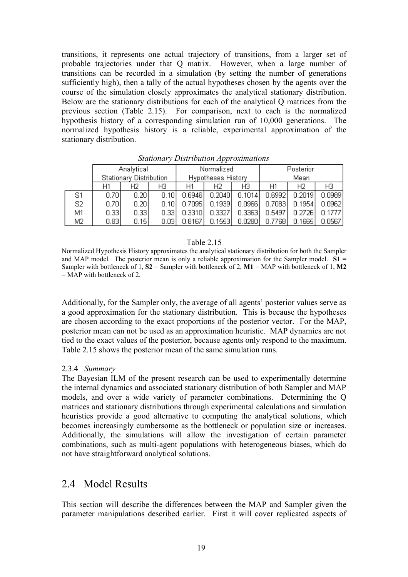transitions, it represents one actual trajectory of transitions, from a larger set of probable trajectories under that Q matrix. However, when a large number of transitions can be recorded in a simulation (by setting the number of generations sufficiently high), then a tally of the actual hypotheses chosen by the agents over the course of the simulation closely approximates the analytical stationary distribution. Below are the stationary distributions for each of the analytical Q matrices from the previous section (Table 2.15). For comparison, next to each is the normalized hypothesis history of a corresponding simulation run of 10,000 generations. The normalized hypothesis history is a reliable, experimental approximation of the stationary distribution.

|                | Analytical<br>Stationary Distribution |      |       |                    | Normalized |        |        | Posterior |                |  |
|----------------|---------------------------------------|------|-------|--------------------|------------|--------|--------|-----------|----------------|--|
|                |                                       |      |       | Hypotheses History |            |        | Mean   |           |                |  |
|                | H1                                    | Н2   | HЗ    | Η1                 | Н2         | ΗЗ     | H1     | Н2        | H <sub>3</sub> |  |
| S1             | 0.70                                  | 0.20 | 0.10  | 0.6946             | 0.2040     | 0.1014 | 0.6992 | 0.2019    | 0.0989         |  |
| S <sub>2</sub> | 0.70                                  | 0.20 | 0.101 | 0.7095             | 0.1939     | 0.0966 | 0.7083 | 0.1954    | 0.0962         |  |
| M1             | 0.33                                  | 0.33 | 0.331 | 0.3310             | 0.3327     | 0.3363 | 0.5497 | 0.2726    | 0.1777         |  |
| M2             | 0.83                                  | 0.15 | 0.031 | 0.8167             | 0.1553     | 0.0280 | 0.7768 | 0.1665    | 0.0567         |  |

*Stationary Distribution Approximations*

#### Table 2.15

Normalized Hypothesis History approximates the analytical stationary distribution for both the Sampler and MAP model. The posterior mean is only a reliable approximation for the Sampler model.  $S1 =$ Sampler with bottleneck of 1,  $S2 =$  Sampler with bottleneck of 2,  $M1 = MAP$  with bottleneck of 1,  $M2$  $=$  MAP with bottleneck of 2.

Additionally, for the Sampler only, the average of all agents' posterior values serve as a good approximation for the stationary distribution. This is because the hypotheses are chosen according to the exact proportions of the posterior vector. For the MAP, posterior mean can not be used as an approximation heuristic. MAP dynamics are not tied to the exact values of the posterior, because agents only respond to the maximum. Table 2.15 shows the posterior mean of the same simulation runs.

## 2.3.4 *Summary*

The Bayesian ILM of the present research can be used to experimentally determine the internal dynamics and associated stationary distribution of both Sampler and MAP models, and over a wide variety of parameter combinations. Determining the Q matrices and stationary distributions through experimental calculations and simulation heuristics provide a good alternative to computing the analytical solutions, which becomes increasingly cumbersome as the bottleneck or population size or increases. Additionally, the simulations will allow the investigation of certain parameter combinations, such as multi-agent populations with heterogeneous biases, which do not have straightforward analytical solutions.

## 2.4 Model Results

This section will describe the differences between the MAP and Sampler given the parameter manipulations described earlier. First it will cover replicated aspects of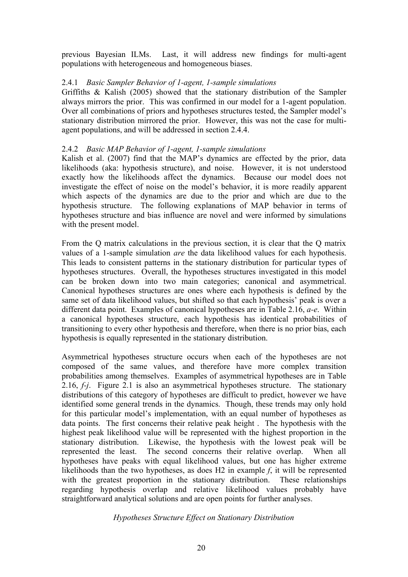previous Bayesian ILMs. Last, it will address new findings for multi-agent populations with heterogeneous and homogeneous biases.

## 2.4.1 *Basic Sampler Behavior of 1-agent, 1-sample simulations*

Griffiths & Kalish (2005) showed that the stationary distribution of the Sampler always mirrors the prior. This was confirmed in our model for a 1-agent population. Over all combinations of priors and hypotheses structures tested, the Sampler model's stationary distribution mirrored the prior. However, this was not the case for multiagent populations, and will be addressed in section 2.4.4.

## 2.4.2 *Basic MAP Behavior of 1-agent, 1-sample simulations*

Kalish et al. (2007) find that the MAP's dynamics are effected by the prior, data likelihoods (aka: hypothesis structure), and noise. However, it is not understood exactly how the likelihoods affect the dynamics. Because our model does not investigate the effect of noise on the model's behavior, it is more readily apparent which aspects of the dynamics are due to the prior and which are due to the hypothesis structure. The following explanations of MAP behavior in terms of hypotheses structure and bias influence are novel and were informed by simulations with the present model.

From the Q matrix calculations in the previous section, it is clear that the Q matrix values of a 1-sample simulation *are* the data likelihood values for each hypothesis. This leads to consistent patterns in the stationary distribution for particular types of hypotheses structures. Overall, the hypotheses structures investigated in this model can be broken down into two main categories; canonical and asymmetrical. Canonical hypotheses structures are ones where each hypothesis is defined by the same set of data likelihood values, but shifted so that each hypothesis' peak is over a different data point. Examples of canonical hypotheses are in Table 2.16, *a-e*. Within a canonical hypotheses structure, each hypothesis has identical probabilities of transitioning to every other hypothesis and therefore, when there is no prior bias, each hypothesis is equally represented in the stationary distribution.

Asymmetrical hypotheses structure occurs when each of the hypotheses are not composed of the same values, and therefore have more complex transition probabilities among themselves. Examples of asymmetrical hypotheses are in Table 2.16, *f-j*. Figure 2.1 is also an asymmetrical hypotheses structure. The stationary distributions of this category of hypotheses are difficult to predict, however we have identified some general trends in the dynamics. Though, these trends may only hold for this particular model's implementation, with an equal number of hypotheses as data points. The first concerns their relative peak height . The hypothesis with the highest peak likelihood value will be represented with the highest proportion in the stationary distribution. Likewise, the hypothesis with the lowest peak will be represented the least. The second concerns their relative overlap. When all hypotheses have peaks with equal likelihood values, but one has higher extreme likelihoods than the two hypotheses, as does H2 in example *f*, it will be represented with the greatest proportion in the stationary distribution. These relationships regarding hypothesis overlap and relative likelihood values probably have straightforward analytical solutions and are open points for further analyses.

## *Hypotheses Structure Effect on Stationary Distribution*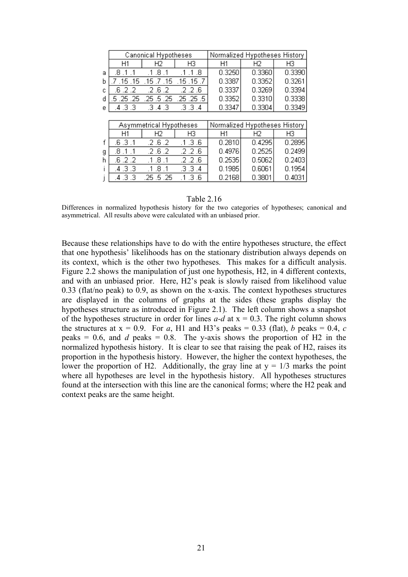|   |           | <b>Canonical Hypotheses</b> |                  | Normalized Hypotheses History |                               |        |  |  |
|---|-----------|-----------------------------|------------------|-------------------------------|-------------------------------|--------|--|--|
|   | H1        | Н2                          | HЗ               | H1                            | Н2                            | H3     |  |  |
| a | .8.1      | .8 .1<br>$\overline{1}$     | .8<br>-1         | 0.3250                        | 0.3360                        | 0.3390 |  |  |
| b | 7 .15 .15 | .15.7.15                    | $.15$ $.15$ $.7$ | 0.3387                        | 0.3352                        | 0.3261 |  |  |
| C | .6 .2 .2  | .2.6.2                      | .2.2.6           | 0.3337                        | 0.3269                        | 0.3394 |  |  |
| d | .5.25.25  | .25.5.25                    | .25.25.5         | 0.3352                        | 0.3310                        | 0.3338 |  |  |
| е | .4 .3 .3  | .3.4.3                      | .3.3.4           | 0.3347                        | 0.3304                        | 0.3349 |  |  |
|   |           |                             |                  |                               |                               |        |  |  |
|   |           | Asymmetrical Hypotheses     |                  |                               | Normalized Hypotheses History |        |  |  |
|   | Η1        | H2                          | HЗ               | H1                            | Н2                            | HЗ     |  |  |
| f | .6.3.1    | .2.6.2                      | .1.3.6           | 0.2810                        | 0.4295                        | 0.2895 |  |  |
| g | .8 .1     | .2.6.2                      | .2.2.6           | 0.4976                        | 0.2525                        | 0.2499 |  |  |
| h | .6.2.2    | .8.1<br>$\mathbf{1}$        | .2 .2 .6         | 0.2535                        | 0.5062                        | 0.2403 |  |  |
|   | .4 .3 .3  | .8 .1<br>$\cdot$ 1          | .3.3.4           | 0.1985                        | 0.6061                        | 0.1954 |  |  |
|   | .4 .3 .3  | .25 .5 .25                  | .1.3.6           | 0.2168                        | 0.3801                        | 0.4031 |  |  |

#### Table 2.16

Differences in normalized hypothesis history for the two categories of hypotheses; canonical and asymmetrical. All results above were calculated with an unbiased prior.

Because these relationships have to do with the entire hypotheses structure, the effect that one hypothesis' likelihoods has on the stationary distribution always depends on its context, which is the other two hypotheses. This makes for a difficult analysis. Figure 2.2 shows the manipulation of just one hypothesis, H2, in 4 different contexts, and with an unbiased prior. Here, H2's peak is slowly raised from likelihood value 0.33 (flat/no peak) to 0.9, as shown on the x-axis. The context hypotheses structures are displayed in the columns of graphs at the sides (these graphs display the hypotheses structure as introduced in Figure 2.1). The left column shows a snapshot of the hypotheses structure in order for lines  $a-d$  at  $x = 0.3$ . The right column shows the structures at  $x = 0.9$ . For *a*, H1 and H3's peaks = 0.33 (flat), *b* peaks = 0.4, *c* peaks  $= 0.6$ , and *d* peaks  $= 0.8$ . The y-axis shows the proportion of H2 in the normalized hypothesis history. It is clear to see that raising the peak of H2, raises its proportion in the hypothesis history. However, the higher the context hypotheses, the lower the proportion of H2. Additionally, the gray line at  $y = 1/3$  marks the point where all hypotheses are level in the hypothesis history. All hypotheses structures found at the intersection with this line are the canonical forms; where the H2 peak and context peaks are the same height.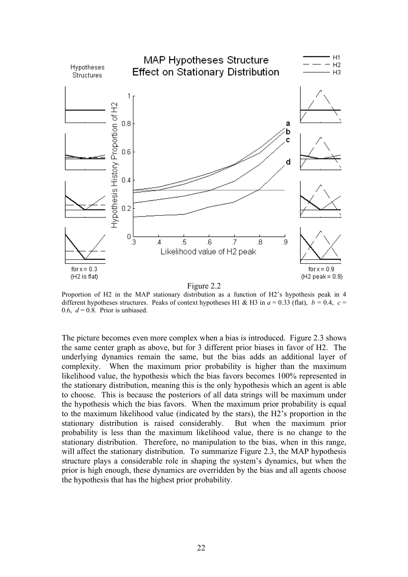

Proportion of H2 in the MAP stationary distribution as a function of H2's hypothesis peak in 4 different hypotheses structures. Peaks of context hypotheses H1 & H3 in  $a = 0.33$  (flat),  $b = 0.4$ ,  $c =$ 0.6,  $d = 0.8$ . Prior is unbiased.

The picture becomes even more complex when a bias is introduced. Figure 2.3 shows the same center graph as above, but for 3 different prior biases in favor of H2. The underlying dynamics remain the same, but the bias adds an additional layer of complexity. When the maximum prior probability is higher than the maximum likelihood value, the hypothesis which the bias favors becomes 100% represented in the stationary distribution, meaning this is the only hypothesis which an agent is able to choose. This is because the posteriors of all data strings will be maximum under the hypothesis which the bias favors. When the maximum prior probability is equal to the maximum likelihood value (indicated by the stars), the H2's proportion in the stationary distribution is raised considerably. But when the maximum prior probability is less than the maximum likelihood value, there is no change to the stationary distribution. Therefore, no manipulation to the bias, when in this range, will affect the stationary distribution. To summarize Figure 2.3, the MAP hypothesis structure plays a considerable role in shaping the system's dynamics, but when the prior is high enough, these dynamics are overridden by the bias and all agents choose the hypothesis that has the highest prior probability.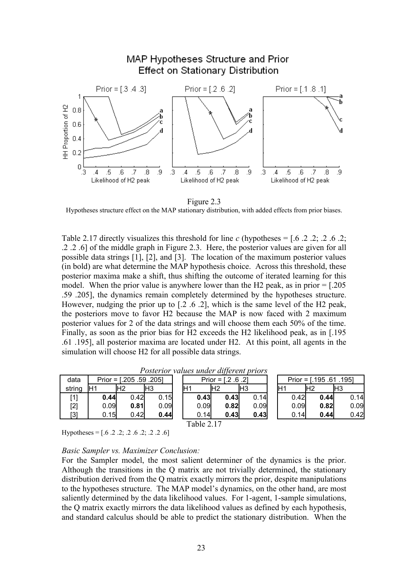

Figure 2.3

Hypotheses structure effect on the MAP stationary distribution, with added effects from prior biases.

Table 2.17 directly visualizes this threshold for line  $c$  (hypotheses =  $[0.6, 2, 2, 2, 6, 2, 2]$ ) .2 .2 .6] of the middle graph in Figure 2.3. Here, the posterior values are given for all possible data strings [1], [2], and [3]. The location of the maximum posterior values (in bold) are what determine the MAP hypothesis choice. Across this threshold, these posterior maxima make a shift, thus shifting the outcome of iterated learning for this model. When the prior value is anywhere lower than the H2 peak, as in prior  $=$  [.205] .59 .205], the dynamics remain completely determined by the hypotheses structure. However, nudging the prior up to [.2 .6 .2], which is the same level of the H2 peak, the posteriors move to favor H2 because the MAP is now faced with 2 maximum posterior values for 2 of the data strings and will choose them each 50% of the time. Finally, as soon as the prior bias for H2 exceeds the H2 likelihood peak, as in [.195 .61 .195], all posterior maxima are located under H2. At this point, all agents in the simulation will choose H2 for all possible data strings.

| data              |       | Prior = $[.205, .59, .205]$ |                 | Prior = $[.2 \, .6 \, .2]$ |     |      |                 | Prior $=$ [. |      |    | .195.61.195] |     |       |
|-------------------|-------|-----------------------------|-----------------|----------------------------|-----|------|-----------------|--------------|------|----|--------------|-----|-------|
| string            | lH1   | H <sub>2</sub>              | IH <sub>3</sub> |                            | lH2 |      | IH <sub>3</sub> | lH1          |      | Ή2 |              | lН3 |       |
| [1]               | 0.44  | 0.421                       | .15             | 0.43                       |     | 0.43 | 0.14            |              | 0.42 |    | 0.44         |     | 0.14l |
| $[2]$             | 0.09l | 0.81                        | 0.09            | 0.09                       |     | 0.82 | 0.09            |              | 0.09 |    | 0.82         |     | 0.09  |
| $\lceil 3 \rceil$ | 0.15  | 0.421                       | 0.44            | 0.14                       |     | 0.43 | 0.43            |              | 0.14 |    | 0.44         |     | 0.42  |

*Posterior values under different priors*

Table 2.17

Hypotheses =  $[0.6 \t.. 2 \t.. 2 \t.. 2 \t.. 2 \t.. 2 \t.. 2 \t.. 6]$ 

#### *Basic Sampler vs. Maximizer Conclusion:*

For the Sampler model, the most salient determiner of the dynamics is the prior. Although the transitions in the Q matrix are not trivially determined, the stationary distribution derived from the Q matrix exactly mirrors the prior, despite manipulations to the hypotheses structure. The MAP model's dynamics, on the other hand, are most saliently determined by the data likelihood values. For 1-agent, 1-sample simulations, the Q matrix exactly mirrors the data likelihood values as defined by each hypothesis, and standard calculus should be able to predict the stationary distribution. When the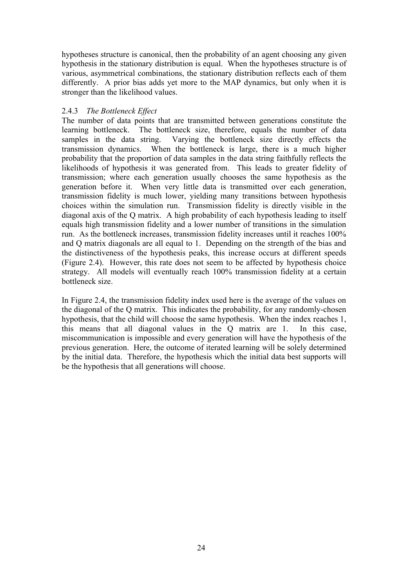hypotheses structure is canonical, then the probability of an agent choosing any given hypothesis in the stationary distribution is equal. When the hypotheses structure is of various, asymmetrical combinations, the stationary distribution reflects each of them differently. A prior bias adds yet more to the MAP dynamics, but only when it is stronger than the likelihood values.

## 2.4.3 *The Bottleneck Effect*

The number of data points that are transmitted between generations constitute the learning bottleneck. The bottleneck size, therefore, equals the number of data samples in the data string. Varying the bottleneck size directly effects the transmission dynamics. When the bottleneck is large, there is a much higher probability that the proportion of data samples in the data string faithfully reflects the likelihoods of hypothesis it was generated from. This leads to greater fidelity of transmission; where each generation usually chooses the same hypothesis as the generation before it. When very little data is transmitted over each generation, transmission fidelity is much lower, yielding many transitions between hypothesis choices within the simulation run. Transmission fidelity is directly visible in the diagonal axis of the Q matrix. A high probability of each hypothesis leading to itself equals high transmission fidelity and a lower number of transitions in the simulation run. As the bottleneck increases, transmission fidelity increases until it reaches 100% and Q matrix diagonals are all equal to 1. Depending on the strength of the bias and the distinctiveness of the hypothesis peaks, this increase occurs at different speeds (Figure 2.4). However, this rate does not seem to be affected by hypothesis choice strategy. All models will eventually reach 100% transmission fidelity at a certain bottleneck size.

In Figure 2.4, the transmission fidelity index used here is the average of the values on the diagonal of the Q matrix. This indicates the probability, for any randomly-chosen hypothesis, that the child will choose the same hypothesis. When the index reaches 1, this means that all diagonal values in the Q matrix are 1. In this case, miscommunication is impossible and every generation will have the hypothesis of the previous generation. Here, the outcome of iterated learning will be solely determined by the initial data. Therefore, the hypothesis which the initial data best supports will be the hypothesis that all generations will choose.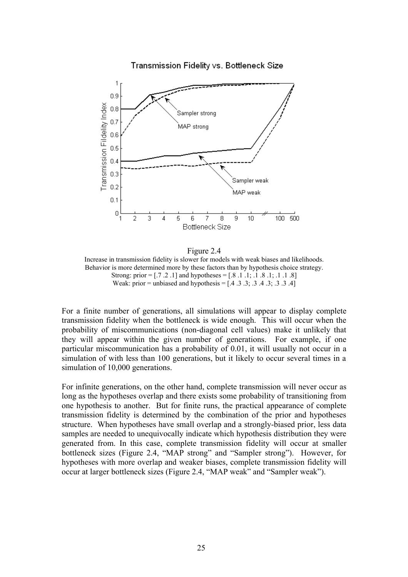

Figure 2.4 Increase in transmission fidelity is slower for models with weak biases and likelihoods. Behavior is more determined more by these factors than by hypothesis choice strategy. Strong: prior =  $[7, 2, 1]$  and hypotheses =  $[8, 1, 1, 1, 8, 1, 1, 1, 8]$ Weak: prior = unbiased and hypothesis =  $[0.4, 0.3, 0.3, 0.3, 0.3, 0.4]$ 

For a finite number of generations, all simulations will appear to display complete transmission fidelity when the bottleneck is wide enough. This will occur when the probability of miscommunications (non-diagonal cell values) make it unlikely that they will appear within the given number of generations. For example, if one particular miscommunication has a probability of 0.01, it will usually not occur in a simulation of with less than 100 generations, but it likely to occur several times in a simulation of 10,000 generations.

For infinite generations, on the other hand, complete transmission will never occur as long as the hypotheses overlap and there exists some probability of transitioning from one hypothesis to another. But for finite runs, the practical appearance of complete transmission fidelity is determined by the combination of the prior and hypotheses structure. When hypotheses have small overlap and a strongly-biased prior, less data samples are needed to unequivocally indicate which hypothesis distribution they were generated from. In this case, complete transmission fidelity will occur at smaller bottleneck sizes (Figure 2.4, "MAP strong" and "Sampler strong"). However, for hypotheses with more overlap and weaker biases, complete transmission fidelity will occur at larger bottleneck sizes (Figure 2.4, "MAP weak" and "Sampler weak").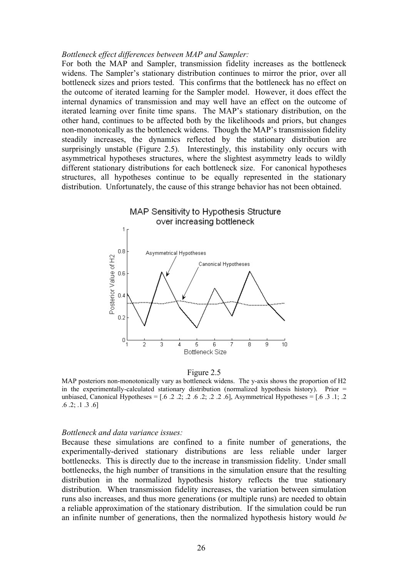#### *Bottleneck effect differences between MAP and Sampler:*

For both the MAP and Sampler, transmission fidelity increases as the bottleneck widens. The Sampler's stationary distribution continues to mirror the prior, over all bottleneck sizes and priors tested. This confirms that the bottleneck has no effect on the outcome of iterated learning for the Sampler model. However, it does effect the internal dynamics of transmission and may well have an effect on the outcome of iterated learning over finite time spans. The MAP's stationary distribution, on the other hand, continues to be affected both by the likelihoods and priors, but changes non-monotonically as the bottleneck widens. Though the MAP's transmission fidelity steadily increases, the dynamics reflected by the stationary distribution are surprisingly unstable (Figure 2.5). Interestingly, this instability only occurs with asymmetrical hypotheses structures, where the slightest asymmetry leads to wildly different stationary distributions for each bottleneck size. For canonical hypotheses structures, all hypotheses continue to be equally represented in the stationary distribution. Unfortunately, the cause of this strange behavior has not been obtained.



Figure 2.5

MAP posteriors non-monotonically vary as bottleneck widens. The y-axis shows the proportion of H2 in the experimentally-calculated stationary distribution (normalized hypothesis history). Prior = unbiased, Canonical Hypotheses = [.6 .2 .2; .2 .6 .2; .2 .2 .6], Asymmetrical Hypotheses = [.6 .3 .1; .2 .6 .2; .1 .3 .6]

#### *Bottleneck and data variance issues:*

Because these simulations are confined to a finite number of generations, the experimentally-derived stationary distributions are less reliable under larger bottlenecks. This is directly due to the increase in transmission fidelity. Under small bottlenecks, the high number of transitions in the simulation ensure that the resulting distribution in the normalized hypothesis history reflects the true stationary distribution. When transmission fidelity increases, the variation between simulation runs also increases, and thus more generations (or multiple runs) are needed to obtain a reliable approximation of the stationary distribution. If the simulation could be run an infinite number of generations, then the normalized hypothesis history would *be*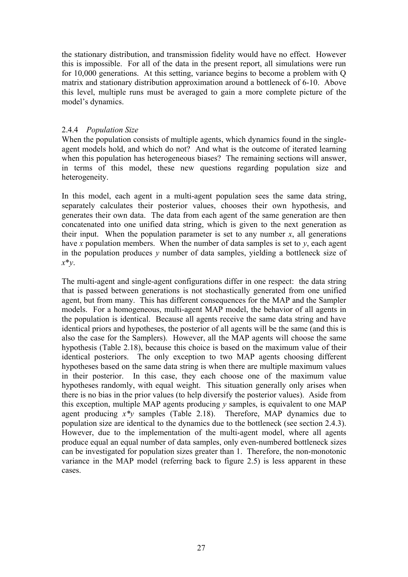the stationary distribution, and transmission fidelity would have no effect. However this is impossible. For all of the data in the present report, all simulations were run for 10,000 generations. At this setting, variance begins to become a problem with Q matrix and stationary distribution approximation around a bottleneck of 6-10. Above this level, multiple runs must be averaged to gain a more complete picture of the model's dynamics.

## 2.4.4 *Population Size*

When the population consists of multiple agents, which dynamics found in the singleagent models hold, and which do not? And what is the outcome of iterated learning when this population has heterogeneous biases? The remaining sections will answer, in terms of this model, these new questions regarding population size and heterogeneity.

In this model, each agent in a multi-agent population sees the same data string, separately calculates their posterior values, chooses their own hypothesis, and generates their own data. The data from each agent of the same generation are then concatenated into one unified data string, which is given to the next generation as their input. When the population parameter is set to any number  $x$ , all generations have *x* population members. When the number of data samples is set to  $y$ , each agent in the population produces *y* number of data samples, yielding a bottleneck size of *x*\**y*.

The multi-agent and single-agent configurations differ in one respect: the data string that is passed between generations is not stochastically generated from one unified agent, but from many. This has different consequences for the MAP and the Sampler models. For a homogeneous, multi-agent MAP model, the behavior of all agents in the population is identical. Because all agents receive the same data string and have identical priors and hypotheses, the posterior of all agents will be the same (and this is also the case for the Samplers). However, all the MAP agents will choose the same hypothesis (Table 2.18), because this choice is based on the maximum value of their identical posteriors. The only exception to two MAP agents choosing different hypotheses based on the same data string is when there are multiple maximum values in their posterior. In this case, they each choose one of the maximum value hypotheses randomly, with equal weight. This situation generally only arises when there is no bias in the prior values (to help diversify the posterior values). Aside from this exception, multiple MAP agents producing *y* samples, is equivalent to one MAP agent producing  $x^*y$  samples (Table 2.18). Therefore, MAP dynamics due to population size are identical to the dynamics due to the bottleneck (see section 2.4.3). However, due to the implementation of the multi-agent model, where all agents produce equal an equal number of data samples, only even-numbered bottleneck sizes can be investigated for population sizes greater than 1. Therefore, the non-monotonic variance in the MAP model (referring back to figure 2.5) is less apparent in these cases.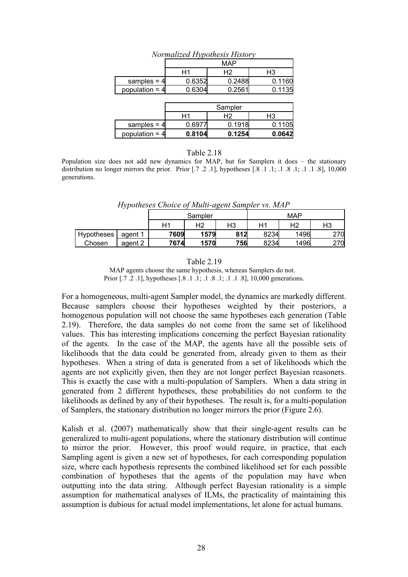| <i><u>Normanzea Trypoinesis History</u></i> |        |        |        |  |  |  |  |  |  |  |
|---------------------------------------------|--------|--------|--------|--|--|--|--|--|--|--|
|                                             | MAP    |        |        |  |  |  |  |  |  |  |
|                                             | Н1     | Н2     | H3     |  |  |  |  |  |  |  |
| samples = $4$                               | 0.6352 | 0.2488 | 0.1160 |  |  |  |  |  |  |  |
| population = $4$                            | 0.6304 | 0.2561 | 0.1135 |  |  |  |  |  |  |  |
|                                             |        |        |        |  |  |  |  |  |  |  |

*Normalized Hypothesis History*

|                  | Sampler |        |        |  |  |  |  |
|------------------|---------|--------|--------|--|--|--|--|
|                  | Н1      | H2     | H3     |  |  |  |  |
| samples = $4$    | 0.6977  | 0.1918 | 0.1105 |  |  |  |  |
| population = $4$ | 0.8104  | 0.1254 | 0.0642 |  |  |  |  |

#### Table 2.18

Population size does not add new dynamics for MAP, but for Samplers it does – the stationary distribution no longer mirrors the prior. Prior  $[.7 \t, 2 \t, 1]$ , hypotheses  $[.8 \t, 1 \t, 1 \t, 3 \t, 1 \t, 1 \t, 8]$ , 10,000 generations.

*Hypotheses Choice of Multi-agent Sampler vs. MAP*

|            |         |      | Sampler |     |      | <b>MAP</b> |     |
|------------|---------|------|---------|-----|------|------------|-----|
|            |         |      | Η2      | H3  | Η1   | Н2         | H3  |
| Hypotheses | agent 1 | 7609 | 1579    | 812 | 8234 | 1496       | 270 |
| Chosen     | agent 2 | 7674 | 1570    | 756 | 8234 | 1496       | 270 |

#### Table 2.19

MAP agents choose the same hypothesis, whereas Samplers do not. Prior [.7 .2 .1], hypotheses [.8 .1 .1; .1 .8 .1; .1 .1 .8], 10,000 generations.

For a homogeneous, multi-agent Sampler model, the dynamics are markedly different. Because samplers choose their hypotheses weighted by their posteriors, a homogenous population will not choose the same hypotheses each generation (Table 2.19). Therefore, the data samples do not come from the same set of likelihood values. This has interesting implications concerning the perfect Bayesian rationality of the agents. In the case of the MAP, the agents have all the possible sets of likelihoods that the data could be generated from, already given to them as their hypotheses. When a string of data is generated from a set of likelihoods which the agents are not explicitly given, then they are not longer perfect Bayesian reasoners. This is exactly the case with a multi-population of Samplers. When a data string in generated from 2 different hypotheses, these probabilities do not conform to the likelihoods as defined by any of their hypotheses. The result is, for a multi-population of Samplers, the stationary distribution no longer mirrors the prior (Figure 2.6).

Kalish et al. (2007) mathematically show that their single-agent results can be generalized to multi-agent populations, where the stationary distribution will continue to mirror the prior. However, this proof would require, in practice, that each Sampling agent is given a new set of hypotheses, for each corresponding population size, where each hypothesis represents the combined likelihood set for each possible combination of hypotheses that the agents of the population may have when outputting into the data string. Although perfect Bayesian rationality is a simple assumption for mathematical analyses of ILMs, the practicality of maintaining this assumption is dubious for actual model implementations, let alone for actual humans.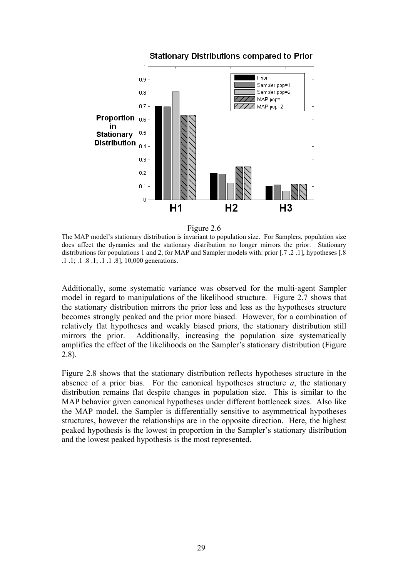

## **Stationary Distributions compared to Prior**



The MAP model's stationary distribution is invariant to population size. For Samplers, population size does affect the dynamics and the stationary distribution no longer mirrors the prior. Stationary distributions for populations 1 and 2, for MAP and Sampler models with: prior [.7 .2 .1], hypotheses [.8 .1 .1; .1 .8 .1; .1 .1 .8], 10,000 generations.

Additionally, some systematic variance was observed for the multi-agent Sampler model in regard to manipulations of the likelihood structure. Figure 2.7 shows that the stationary distribution mirrors the prior less and less as the hypotheses structure becomes strongly peaked and the prior more biased. However, for a combination of relatively flat hypotheses and weakly biased priors, the stationary distribution still mirrors the prior. Additionally, increasing the population size systematically amplifies the effect of the likelihoods on the Sampler's stationary distribution (Figure 2.8).

Figure 2.8 shows that the stationary distribution reflects hypotheses structure in the absence of a prior bias. For the canonical hypotheses structure  $a$ , the stationary distribution remains flat despite changes in population size. This is similar to the MAP behavior given canonical hypotheses under different bottleneck sizes. Also like the MAP model, the Sampler is differentially sensitive to asymmetrical hypotheses structures, however the relationships are in the opposite direction. Here, the highest peaked hypothesis is the lowest in proportion in the Sampler's stationary distribution and the lowest peaked hypothesis is the most represented.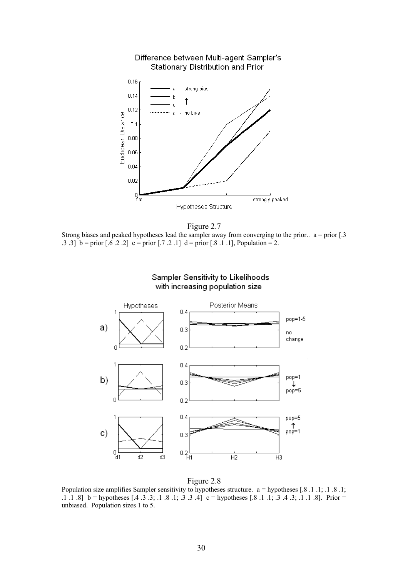



Strong biases and peaked hypotheses lead the sampler away from converging to the prior..  $a = prior [3]$ .3 .3] b = prior [.6 .2 .2] c = prior [.7 .2 .1] d = prior [.8 .1 .1], Population = 2.



## Sampler Sensitivity to Likelihoods with increasing population size

Figure 2.8

Population size amplifies Sampler sensitivity to hypotheses structure. a = hypotheses [.8 .1 .1; .1 .8 .1; .1 .1 .8] b = hypotheses [.4 .3 .3; .1 .8 .1; .3 .3 .4] c = hypotheses [.8 .1 .1; .3 .4 .3; .1 .1 .8]. Prior = unbiased. Population sizes 1 to 5.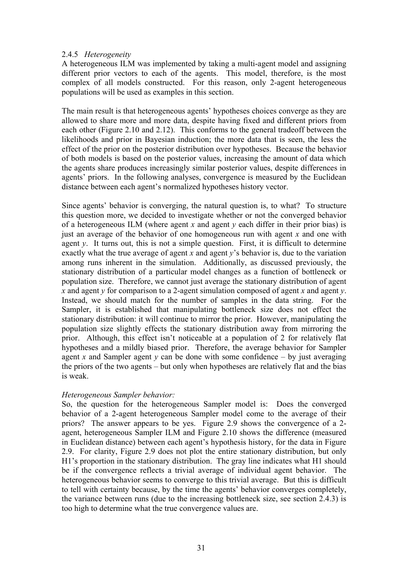## 2.4.5 *Heterogeneity*

A heterogeneous ILM was implemented by taking a multi-agent model and assigning different prior vectors to each of the agents. This model, therefore, is the most complex of all models constructed. For this reason, only 2-agent heterogeneous populations will be used as examples in this section.

The main result is that heterogeneous agents' hypotheses choices converge as they are allowed to share more and more data, despite having fixed and different priors from each other (Figure 2.10 and 2.12). This conforms to the general tradeoff between the likelihoods and prior in Bayesian induction; the more data that is seen, the less the effect of the prior on the posterior distribution over hypotheses. Because the behavior of both models is based on the posterior values, increasing the amount of data which the agents share produces increasingly similar posterior values, despite differences in agents' priors. In the following analyses, convergence is measured by the Euclidean distance between each agent's normalized hypotheses history vector.

Since agents' behavior is converging, the natural question is, to what? To structure this question more, we decided to investigate whether or not the converged behavior of a heterogeneous ILM (where agent *x* and agent *y* each differ in their prior bias) is just an average of the behavior of one homogeneous run with agent *x* and one with agent *y*. It turns out, this is not a simple question. First, it is difficult to determine exactly what the true average of agent *x* and agent *y*'s behavior is, due to the variation among runs inherent in the simulation. Additionally, as discussed previously, the stationary distribution of a particular model changes as a function of bottleneck or population size. Therefore, we cannot just average the stationary distribution of agent *x* and agent *y* for comparison to a 2-agent simulation composed of agent *x* and agent *y*. Instead, we should match for the number of samples in the data string. For the Sampler, it is established that manipulating bottleneck size does not effect the stationary distribution: it will continue to mirror the prior. However, manipulating the population size slightly effects the stationary distribution away from mirroring the prior. Although, this effect isn't noticeable at a population of 2 for relatively flat hypotheses and a mildly biased prior. Therefore, the average behavior for Sampler agent *x* and Sampler agent *y* can be done with some confidence – by just averaging the priors of the two agents – but only when hypotheses are relatively flat and the bias is weak.

## *Heterogeneous Sampler behavior:*

So, the question for the heterogeneous Sampler model is: Does the converged behavior of a 2-agent heterogeneous Sampler model come to the average of their priors? The answer appears to be yes. Figure 2.9 shows the convergence of a 2 agent, heterogeneous Sampler ILM and Figure 2.10 shows the difference (measured in Euclidean distance) between each agent's hypothesis history, for the data in Figure 2.9. For clarity, Figure 2.9 does not plot the entire stationary distribution, but only H1's proportion in the stationary distribution. The gray line indicates what H1 should be if the convergence reflects a trivial average of individual agent behavior. The heterogeneous behavior seems to converge to this trivial average. But this is difficult to tell with certainty because, by the time the agents' behavior converges completely, the variance between runs (due to the increasing bottleneck size, see section 2.4.3) is too high to determine what the true convergence values are.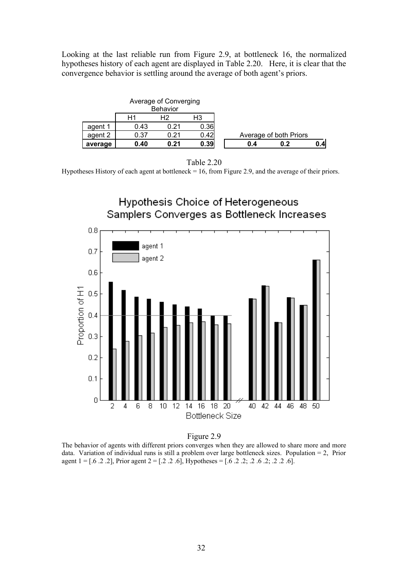Looking at the last reliable run from Figure 2.9, at bottleneck 16, the normalized hypotheses history of each agent are displayed in Table 2.20. Here, it is clear that the convergence behavior is settling around the average of both agent's priors.

|         |      | Average of Converging |      |     |                        |     |  |
|---------|------|-----------------------|------|-----|------------------------|-----|--|
|         |      | <b>Behavior</b>       |      |     |                        |     |  |
|         | Η1   | H2                    | H3   |     |                        |     |  |
| agent 1 | 0.43 | 0.21                  | 0.36 |     |                        |     |  |
| agent 2 | 0.37 | 0.21                  | 0.42 |     | Average of both Priors |     |  |
| average | 0.40 | 0.21                  | 0.39 | 0.4 | 0.2                    | 0.4 |  |



Hypotheses History of each agent at bottleneck = 16, from Figure 2.9, and the average of their priors.





The behavior of agents with different priors converges when they are allowed to share more and more data. Variation of individual runs is still a problem over large bottleneck sizes. Population = 2, Prior agent  $1 = [.6 \, .2 \, .2]$ , Prior agent  $2 = [.2 \, .2 \, .6]$ , Hypotheses =  $[ .6 \, .2 \, .2 \, .2 \, .6 \, .2; .2 \, .2 \, .6]$ .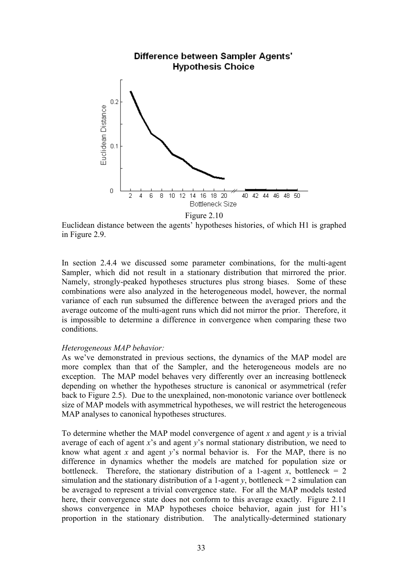

Figure 2.10

Euclidean distance between the agents' hypotheses histories, of which H1 is graphed in Figure 2.9.

In section 2.4.4 we discussed some parameter combinations, for the multi-agent Sampler, which did not result in a stationary distribution that mirrored the prior. Namely, strongly-peaked hypotheses structures plus strong biases. Some of these combinations were also analyzed in the heterogeneous model, however, the normal variance of each run subsumed the difference between the averaged priors and the average outcome of the multi-agent runs which did not mirror the prior. Therefore, it is impossible to determine a difference in convergence when comparing these two conditions.

## *Heterogeneous MAP behavior:*

As we've demonstrated in previous sections, the dynamics of the MAP model are more complex than that of the Sampler, and the heterogeneous models are no exception. The MAP model behaves very differently over an increasing bottleneck depending on whether the hypotheses structure is canonical or asymmetrical (refer back to Figure 2.5). Due to the unexplained, non-monotonic variance over bottleneck size of MAP models with asymmetrical hypotheses, we will restrict the heterogeneous MAP analyses to canonical hypotheses structures.

To determine whether the MAP model convergence of agent *x* and agent *y* is a trivial average of each of agent *x*'s and agent *y*'s normal stationary distribution, we need to know what agent *x* and agent *y*'s normal behavior is. For the MAP, there is no difference in dynamics whether the models are matched for population size or bottleneck. Therefore, the stationary distribution of a 1-agent *x*, bottleneck = 2 simulation and the stationary distribution of a 1-agent *y*, bottleneck = 2 simulation can be averaged to represent a trivial convergence state. For all the MAP models tested here, their convergence state does not conform to this average exactly. Figure 2.11 shows convergence in MAP hypotheses choice behavior, again just for H1's proportion in the stationary distribution. The analytically-determined stationary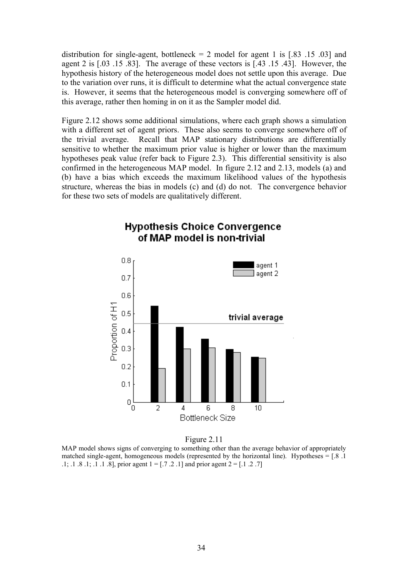distribution for single-agent, bottleneck  $= 2$  model for agent 1 is [.83 .15 .03] and agent 2 is [.03 .15 .83]. The average of these vectors is [.43 .15 .43]. However, the hypothesis history of the heterogeneous model does not settle upon this average. Due to the variation over runs, it is difficult to determine what the actual convergence state is. However, it seems that the heterogeneous model is converging somewhere off of this average, rather then homing in on it as the Sampler model did.

Figure 2.12 shows some additional simulations, where each graph shows a simulation with a different set of agent priors. These also seems to converge somewhere off of the trivial average. Recall that MAP stationary distributions are differentially sensitive to whether the maximum prior value is higher or lower than the maximum hypotheses peak value (refer back to Figure 2.3). This differential sensitivity is also confirmed in the heterogeneous MAP model. In figure 2.12 and 2.13, models (a) and (b) have a bias which exceeds the maximum likelihood values of the hypothesis structure, whereas the bias in models (c) and (d) do not. The convergence behavior for these two sets of models are qualitatively different.



## **Hypothesis Choice Convergence** of MAP model is non-trivial

Figure 2.11

MAP model shows signs of converging to something other than the average behavior of appropriately matched single-agent, homogeneous models (represented by the horizontal line). Hypotheses  $=$  [.8 .1] .1; .1 .8 .1; .1 .1 .8], prior agent  $1 = [0.7 \, 0.2 \, 0.1]$  and prior agent  $2 = [0.1 \, 0.2 \, 0.7]$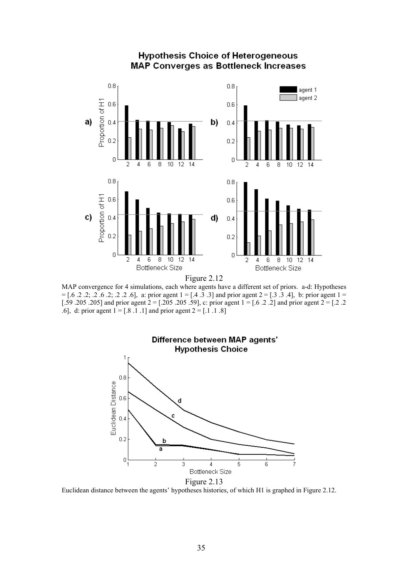

## **Hypothesis Choice of Heterogeneous** MAP Converges as Bottleneck Increases

Figure 2.12

MAP convergence for 4 simulations, each where agents have a different set of priors. a-d: Hypotheses  $=[.6 \t3 \t3 \t3 \t4]$ , b: prior agent 1 = [.4 .3 .3] and prior agent 2 = [.3 .3 .4], b: prior agent 1 = [.59 .205 .205] and prior agent 2 = [.205 .205 .59], c: prior agent 1 = [.6 .2 .2] and prior agent 2 = [.2 .2 .6], d: prior agent  $1 = [.8 \, .1 \, .1]$  and prior agent  $2 = [.1 \, .1 \, .8]$ 



Euclidean distance between the agents' hypotheses histories, of which H1 is graphed in Figure 2.12.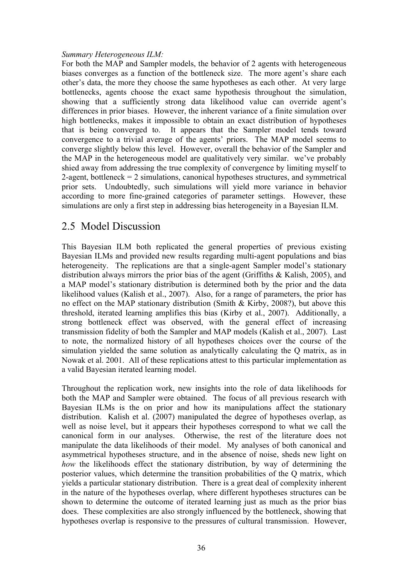## *Summary Heterogeneous ILM:*

For both the MAP and Sampler models, the behavior of 2 agents with heterogeneous biases converges as a function of the bottleneck size. The more agent's share each other's data, the more they choose the same hypotheses as each other. At very large bottlenecks, agents choose the exact same hypothesis throughout the simulation, showing that a sufficiently strong data likelihood value can override agent's differences in prior biases. However, the inherent variance of a finite simulation over high bottlenecks, makes it impossible to obtain an exact distribution of hypotheses that is being converged to. It appears that the Sampler model tends toward convergence to a trivial average of the agents' priors. The MAP model seems to converge slightly below this level. However, overall the behavior of the Sampler and the MAP in the heterogeneous model are qualitatively very similar. we've probably shied away from addressing the true complexity of convergence by limiting myself to 2-agent, bottleneck  $= 2$  simulations, canonical hypotheses structures, and symmetrical prior sets. Undoubtedly, such simulations will yield more variance in behavior according to more fine-grained categories of parameter settings. However, these simulations are only a first step in addressing bias heterogeneity in a Bayesian ILM.

## 2.5 Model Discussion

This Bayesian ILM both replicated the general properties of previous existing Bayesian ILMs and provided new results regarding multi-agent populations and bias heterogeneity. The replications are that a single-agent Sampler model's stationary distribution always mirrors the prior bias of the agent (Griffiths & Kalish, 2005), and a MAP model's stationary distribution is determined both by the prior and the data likelihood values (Kalish et al., 2007). Also, for a range of parameters, the prior has no effect on the MAP stationary distribution (Smith & Kirby, 2008?), but above this threshold, iterated learning amplifies this bias (Kirby et al., 2007). Additionally, a strong bottleneck effect was observed, with the general effect of increasing transmission fidelity of both the Sampler and MAP models (Kalish et al., 2007). Last to note, the normalized history of all hypotheses choices over the course of the simulation yielded the same solution as analytically calculating the Q matrix, as in Nowak et al. 2001. All of these replications attest to this particular implementation as a valid Bayesian iterated learning model.

Throughout the replication work, new insights into the role of data likelihoods for both the MAP and Sampler were obtained. The focus of all previous research with Bayesian ILMs is the on prior and how its manipulations affect the stationary distribution. Kalish et al. (2007) manipulated the degree of hypotheses overlap, as well as noise level, but it appears their hypotheses correspond to what we call the canonical form in our analyses. Otherwise, the rest of the literature does not manipulate the data likelihoods of their model. My analyses of both canonical and asymmetrical hypotheses structure, and in the absence of noise, sheds new light on *how* the likelihoods effect the stationary distribution, by way of determining the posterior values, which determine the transition probabilities of the Q matrix, which yields a particular stationary distribution. There is a great deal of complexity inherent in the nature of the hypotheses overlap, where different hypotheses structures can be shown to determine the outcome of iterated learning just as much as the prior bias does. These complexities are also strongly influenced by the bottleneck, showing that hypotheses overlap is responsive to the pressures of cultural transmission. However,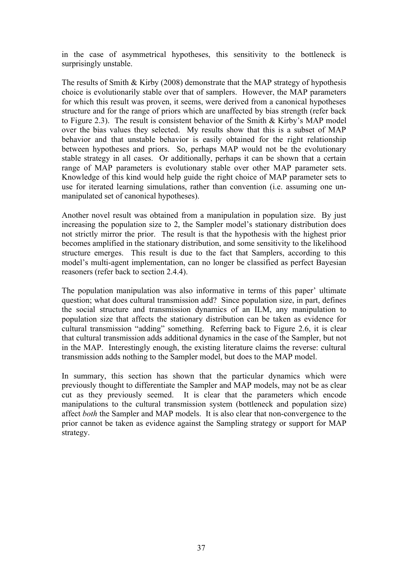in the case of asymmetrical hypotheses, this sensitivity to the bottleneck is surprisingly unstable.

The results of Smith & Kirby (2008) demonstrate that the MAP strategy of hypothesis choice is evolutionarily stable over that of samplers. However, the MAP parameters for which this result was proven, it seems, were derived from a canonical hypotheses structure and for the range of priors which are unaffected by bias strength (refer back to Figure 2.3). The result is consistent behavior of the Smith & Kirby's MAP model over the bias values they selected. My results show that this is a subset of MAP behavior and that unstable behavior is easily obtained for the right relationship between hypotheses and priors. So, perhaps MAP would not be the evolutionary stable strategy in all cases. Or additionally, perhaps it can be shown that a certain range of MAP parameters is evolutionary stable over other MAP parameter sets. Knowledge of this kind would help guide the right choice of MAP parameter sets to use for iterated learning simulations, rather than convention (i.e. assuming one unmanipulated set of canonical hypotheses).

Another novel result was obtained from a manipulation in population size. By just increasing the population size to 2, the Sampler model's stationary distribution does not strictly mirror the prior. The result is that the hypothesis with the highest prior becomes amplified in the stationary distribution, and some sensitivity to the likelihood structure emerges. This result is due to the fact that Samplers, according to this model's multi-agent implementation, can no longer be classified as perfect Bayesian reasoners (refer back to section 2.4.4).

The population manipulation was also informative in terms of this paper' ultimate question; what does cultural transmission add? Since population size, in part, defines the social structure and transmission dynamics of an ILM, any manipulation to population size that affects the stationary distribution can be taken as evidence for cultural transmission "adding" something. Referring back to Figure 2.6, it is clear that cultural transmission adds additional dynamics in the case of the Sampler, but not in the MAP. Interestingly enough, the existing literature claims the reverse: cultural transmission adds nothing to the Sampler model, but does to the MAP model.

In summary, this section has shown that the particular dynamics which were previously thought to differentiate the Sampler and MAP models, may not be as clear cut as they previously seemed. It is clear that the parameters which encode manipulations to the cultural transmission system (bottleneck and population size) affect *both* the Sampler and MAP models. It is also clear that non-convergence to the prior cannot be taken as evidence against the Sampling strategy or support for MAP strategy.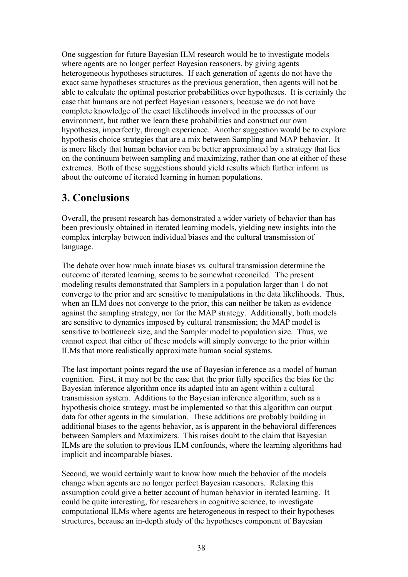One suggestion for future Bayesian ILM research would be to investigate models where agents are no longer perfect Bayesian reasoners, by giving agents heterogeneous hypotheses structures. If each generation of agents do not have the exact same hypotheses structures as the previous generation, then agents will not be able to calculate the optimal posterior probabilities over hypotheses. It is certainly the case that humans are not perfect Bayesian reasoners, because we do not have complete knowledge of the exact likelihoods involved in the processes of our environment, but rather we learn these probabilities and construct our own hypotheses, imperfectly, through experience. Another suggestion would be to explore hypothesis choice strategies that are a mix between Sampling and MAP behavior. It is more likely that human behavior can be better approximated by a strategy that lies on the continuum between sampling and maximizing, rather than one at either of these extremes. Both of these suggestions should yield results which further inform us about the outcome of iterated learning in human populations.

## **3. Conclusions**

Overall, the present research has demonstrated a wider variety of behavior than has been previously obtained in iterated learning models, yielding new insights into the complex interplay between individual biases and the cultural transmission of language.

The debate over how much innate biases vs. cultural transmission determine the outcome of iterated learning, seems to be somewhat reconciled. The present modeling results demonstrated that Samplers in a population larger than 1 do not converge to the prior and are sensitive to manipulations in the data likelihoods. Thus, when an ILM does not converge to the prior, this can neither be taken as evidence against the sampling strategy, nor for the MAP strategy. Additionally, both models are sensitive to dynamics imposed by cultural transmission; the MAP model is sensitive to bottleneck size, and the Sampler model to population size. Thus, we cannot expect that either of these models will simply converge to the prior within ILMs that more realistically approximate human social systems.

The last important points regard the use of Bayesian inference as a model of human cognition. First, it may not be the case that the prior fully specifies the bias for the Bayesian inference algorithm once its adapted into an agent within a cultural transmission system. Additions to the Bayesian inference algorithm, such as a hypothesis choice strategy, must be implemented so that this algorithm can output data for other agents in the simulation. These additions are probably building in additional biases to the agents behavior, as is apparent in the behavioral differences between Samplers and Maximizers. This raises doubt to the claim that Bayesian ILMs are the solution to previous ILM confounds, where the learning algorithms had implicit and incomparable biases.

Second, we would certainly want to know how much the behavior of the models change when agents are no longer perfect Bayesian reasoners. Relaxing this assumption could give a better account of human behavior in iterated learning. It could be quite interesting, for researchers in cognitive science, to investigate computational ILMs where agents are heterogeneous in respect to their hypotheses structures, because an in-depth study of the hypotheses component of Bayesian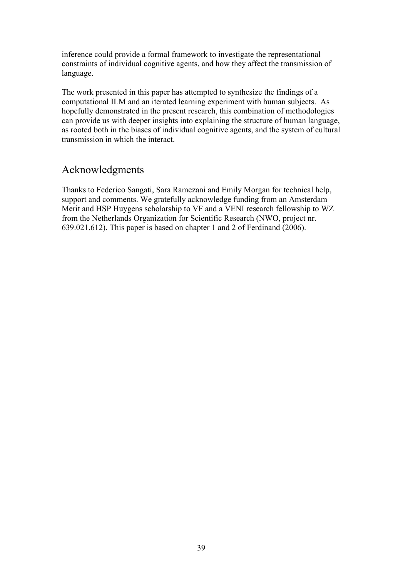inference could provide a formal framework to investigate the representational constraints of individual cognitive agents, and how they affect the transmission of language.

The work presented in this paper has attempted to synthesize the findings of a computational ILM and an iterated learning experiment with human subjects. As hopefully demonstrated in the present research, this combination of methodologies can provide us with deeper insights into explaining the structure of human language, as rooted both in the biases of individual cognitive agents, and the system of cultural transmission in which the interact.

## Acknowledgments

Thanks to Federico Sangati, Sara Ramezani and Emily Morgan for technical help, support and comments. We gratefully acknowledge funding from an Amsterdam Merit and HSP Huygens scholarship to VF and a VENI research fellowship to WZ from the Netherlands Organization for Scientific Research (NWO, project nr. 639.021.612). This paper is based on chapter 1 and 2 of Ferdinand (2006).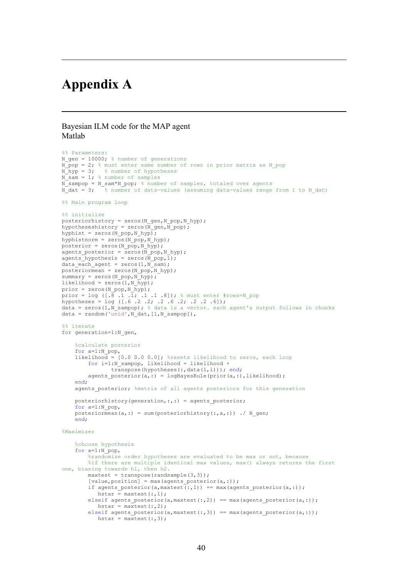# **Appendix A**

#### Bayesian ILM code for the MAP agent Matlab

```
%% Parameters:
N gen = 10000; \frac{1}{6} number of generations
N-pop = 2; % must enter same number of rows in prior matrix as N pop
N hyp = 3; % number of hypotheses
N sam = 1; % number of samples
N_sampop = N_sam*N_pop; % number of samples, totaled over agents<br>N_dat = 3; % number of data-values (assuming data-values range
             \overline{\phantom{x}} % number of data-values (assuming data-values range from 1 to N dat)
%% Main program loop
%% initialize
posteriorhistory = zeros(N_gen,N_pop,N_hyp);
hypotheseshistory = zeros(N gen, N pop);
hyphist = zeros(N pop,N hyp);
hyphistnorm = \overline{z}eros(N_pop, N_hyp);
posterior = zeros(N_pop,N_hyp);
agents posterior = \frac{1}{2} and \frac{1}{2} bop, N hyp);
a agents hypothesis = zeros(\overline{N}_ppop, 1);
data each agent = zeros(1,N sam);
posteriormean = zeros(N_pop,N_hyp);
summary = zeros(N pop, N hyp);
likelihood = zeros(1,N hyp);
prior = zeros(N_pop,N_hyp);
prior = log ([.\frac{1}{8} .1 .1, .1 .1 .8]); % must enter #rows=N_pop
hypotheses = log ([.6 .2 .2; .2 .6 .2; .2 .2 .6]);
data = zeros(1,N_sampop); % data is a vector. each agent's output follows in chunks
data = random('unid', N dat, [1,N \text{ sampop}]),
%% iterate
for generation=1:N_gen,
     %calculate posterior
     for a=1:N_pop,
    likelihood = [0.0 0.0 0.0]; %resets likelihood to zeros, each loop
         for i=1:N_sampop, likelihood = likelihood + 
                transpose(hypotheses(:,data(1,i))); end;
         agents_posterior(a,:) = logBayesRule(prior(a,:),likelihood);
     end;
    agents posterior; %matrix of all agents posteriors for this generation
    posteriorhistory(generation,:,:) = agents posterior;
     for a=1:N_pop,
    posteriormean(a,:) = sum(posteriorhistory(:,a,:)) ./ N gen;
     end;
%Maximizer
     %choose hypothesis
     for a=1:N_pop, 
          %randomize order hypotheses are evaluated to be max or not, because
          %if there are multiple identical max values, max() always returns the first
one, biasing towards h1, then h2.
        maxtest = transpose(range(3,3));
         [value, position] = max(agents\_posterior(a,:));if agents_posterior(a,maxtest(:,1)) == max(agents posterior(a,:));
            hstar = maxtest(:,1);
         elseif agents posterior(a,maxtest(:,2)) == max(agents posterior(a,:));
           hstar = maxtest(:,2);elseif agents_posterior(a,maxtest(:,3)) == max(agents_posterior(a,:));
            hstar = maxtest(:,3);
```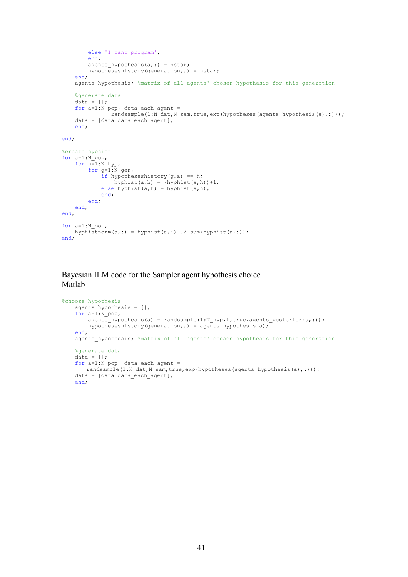```
 else 'I cant program';
         end;
        agents hypothesis(a,:) = hstar;
         hypotheseshistory(generation,a) = hstar;
     end;
    agents hypothesis; %matrix of all agents' chosen hypothesis for this generation
     %generate data
    data = [];
    for a=1:N\_pop, data_each_agent =
               randsample(1:\overline{N}_dat,N_sam,true,exp(hypotheses(agents_hypothesis(a),:)));
     data = [data data_each_agent];
     end;
end;
%create hyphist
for a=1:N_pop,
    for h=1:N hyp,
 for g=1:N_gen,
if hypotheseshistory(g,a) == h;
                hyphist(a,h) = (hyphist(a,h))+1;else hyphist(a,h) = hyphist(a,h);
             end;
         end;
     end;
end;
for a=1:N_pop,
   hyphistnorm(a,:) = hyphist(a,:) \cdot sum(hyphist(a,:));
end;
```
Bayesian ILM code for the Sampler agent hypothesis choice Matlab

```
%choose hypothesis
    agents hypothesis = [];
    for a=\overline{1:N} pop,
        agents hypothesis(a) = randsample(1:N_hyp,1,true,agents_posterior(a,:));
        hypotheseshistory(generation, a) = agents hypothesis(a);
     end;
    agents hypothesis; \frac{1}{2} matrix of all agents' chosen hypothesis for this generation
     %generate data
    data = [];
    for a=1:N\_pop, data_each_agent =
       randsample(1:N_dat,N_sam,true,exp(hypotheses(agents_hypothesis(a),:)));
    data = [data data = data] end;
```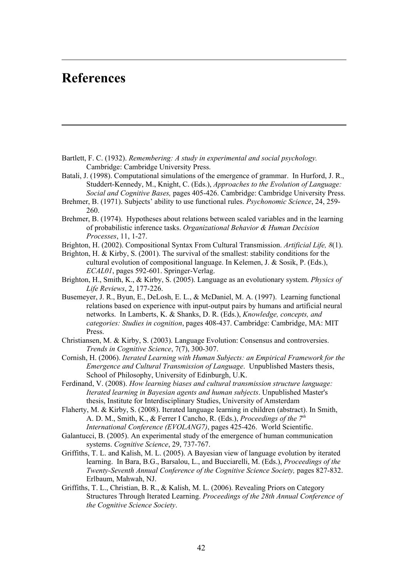# **References**

- Bartlett, F. C. (1932). *Remembering: A study in experimental and social psychology.* Cambridge: Cambridge University Press.
- Batali, J. (1998). Computational simulations of the emergence of grammar. In Hurford, J. R., Studdert-Kennedy, M., Knight, C. (Eds.), *Approaches to the Evolution of Language: Social and Cognitive Bases,* pages 405-426. Cambridge: Cambridge University Press.
- Brehmer, B. (1971). Subjects' ability to use functional rules. *Psychonomic Science*, 24, 259- 260.
- Brehmer, B. (1974). Hypotheses about relations between scaled variables and in the learning of probabilistic inference tasks. *Organizational Behavior & Human Decision Processes*, 11, 1-27.
- Brighton, H. (2002). Compositional Syntax From Cultural Transmission. *Artificial Life, 8*(1).
- Brighton, H. & Kirby, S. (2001). The survival of the smallest: stability conditions for the cultural evolution of compositional language. In Kelemen, J. & Sosik, P. (Eds.), *ECAL01*, pages 592-601. Springer-Verlag.
- Brighton, H., Smith, K., & Kirby, S. (2005). Language as an evolutionary system. *Physics of Life Reviews*, 2, 177-226.
- Busemeyer, J. R., Byun, E., DeLosh, E. L., & McDaniel, M. A. (1997). Learning functional relations based on experience with input-output pairs by humans and artificial neural networks. In Lamberts, K. & Shanks, D. R. (Eds.), *Knowledge, concepts, and categories: Studies in cognition*, pages 408-437. Cambridge: Cambridge, MA: MIT Press.
- Christiansen, M. & Kirby, S. (2003). Language Evolution: Consensus and controversies. *Trends in Cognitive Science*, 7(7), 300-307.
- Cornish, H. (2006). *Iterated Learning with Human Subjects: an Empirical Framework for the Emergence and Cultural Transmission of Language*. Unpublished Masters thesis, School of Philosophy, University of Edinburgh, U.K.
- Ferdinand, V. (2008). *How learning biases and cultural transmission structure language: Iterated learning in Bayesian agents and human subjects*. Unpublished Master's thesis, Institute for Interdisciplinary Studies, University of Amsterdam
- Flaherty, M. & Kirby, S. (2008). Iterated language learning in children (abstract). In Smith, A. D. M., Smith, K., & Ferrer I Cancho, R. (Eds.), *Proceedings of the 7th International Conference (EVOLANG7)*, pages 425-426. World Scientific.
- Galantucci, B. (2005). An experimental study of the emergence of human communication systems. *Cognitive Science*, 29, 737-767.
- Griffiths, T. L. and Kalish, M. L. (2005). A Bayesian view of language evolution by iterated learning. In Bara, B.G., Barsalou, L., and Bucciarelli, M. (Eds.), *Proceedings of the Twenty-Seventh Annual Conference of the Cognitive Science Society,* pages 827-832. Erlbaum, Mahwah, NJ.
- Griffiths, T. L., Christian, B. R., & Kalish, M. L. (2006). Revealing Priors on Category Structures Through Iterated Learning. *Proceedings of the 28th Annual Conference of the Cognitive Science Society*.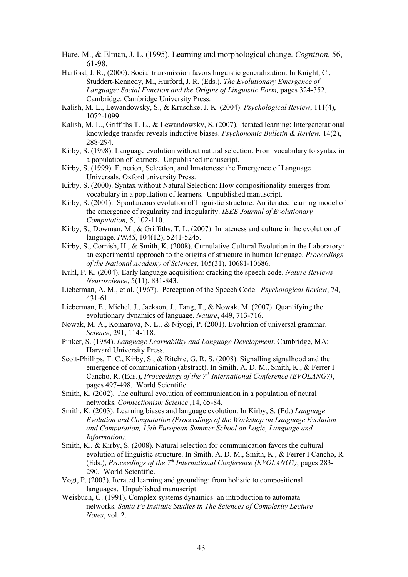- Hare, M., & Elman, J. L. (1995). Learning and morphological change. *Cognition*, 56, 61-98.
- Hurford, J. R., (2000). Social transmission favors linguistic generalization. In Knight, C., Studdert-Kennedy, M., Hurford, J. R. (Eds.), *The Evolutionary Emergence of Language: Social Function and the Origins of Linguistic Form, pages 324-352.* Cambridge: Cambridge University Press.
- Kalish, M. L., Lewandowsky, S., & Kruschke, J. K. (2004). *Psychological Review*, 111(4), 1072-1099.
- Kalish, M. L., Griffiths T. L., & Lewandowsky, S. (2007). Iterated learning: Intergenerational knowledge transfer reveals inductive biases. *Psychonomic Bulletin & Review.* 14(2), 288-294.
- Kirby, S. (1998). Language evolution without natural selection: From vocabulary to syntax in a population of learners. Unpublished manuscript.
- Kirby, S. (1999). Function, Selection, and Innateness: the Emergence of Language Universals. Oxford university Press.
- Kirby, S. (2000). Syntax without Natural Selection: How compositionality emerges from vocabulary in a population of learners. Unpublished manuscript.
- Kirby, S. (2001). Spontaneous evolution of linguistic structure: An iterated learning model of the emergence of regularity and irregularity. *IEEE Journal of Evolutionary Computation,* 5, 102-110.
- Kirby, S., Dowman, M., & Griffiths, T. L. (2007). Innateness and culture in the evolution of language. *PNAS*, 104(12), 5241-5245.
- Kirby, S., Cornish, H., & Smith, K. (2008). Cumulative Cultural Evolution in the Laboratory: an experimental approach to the origins of structure in human language. *Proceedings of the National Academy of Sciences*, 105(31), 10681-10686.
- Kuhl, P. K. (2004). Early language acquisition: cracking the speech code. *Nature Reviews Neuroscience*, 5(11), 831-843.
- Lieberman, A. M., et al. (1967). Perception of the Speech Code. *Psychological Review*, 74, 431-61.
- Lieberman, E., Michel, J., Jackson, J., Tang, T., & Nowak, M. (2007). Quantifying the evolutionary dynamics of language. *Nature*, 449, 713-716.
- Nowak, M. A., Komarova, N. L., & Niyogi, P. (2001). Evolution of universal grammar. *Science*, 291, 114-118.
- Pinker, S. (1984). *Language Learnability and Language Development*. Cambridge, MA: Harvard University Press.
- Scott-Phillips, T. C., Kirby, S., & Ritchie, G. R. S. (2008). Signalling signalhood and the emergence of communication (abstract). In Smith, A. D. M., Smith, K., & Ferrer I Cancho, R. (Eds.), *Proceedings of the 7<sup>th</sup> International Conference (EVOLANG7)*, pages 497-498. World Scientific.
- Smith, K. (2002). The cultural evolution of communication in a population of neural networks. *Connectionism Science* ,14, 65-84.
- Smith, K. (2003). Learning biases and language evolution. In Kirby, S. (Ed.) *Language Evolution and Computation (Proceedings of the Workshop on Language Evolution and Computation, 15th European Summer School on Logic, Language and Information)*.
- Smith, K., & Kirby, S. (2008). Natural selection for communication favors the cultural evolution of linguistic structure. In Smith, A. D. M., Smith, K., & Ferrer I Cancho, R. (Eds.), *Proceedings of the 7th International Conference (EVOLANG7)*, pages 283- 290. World Scientific.
- Vogt, P. (2003). Iterated learning and grounding: from holistic to compositional languages. Unpublished manuscript.
- Weisbuch, G. (1991). Complex systems dynamics: an introduction to automata networks. *Santa Fe Institute Studies in The Sciences of Complexity Lecture Notes*, vol. 2.